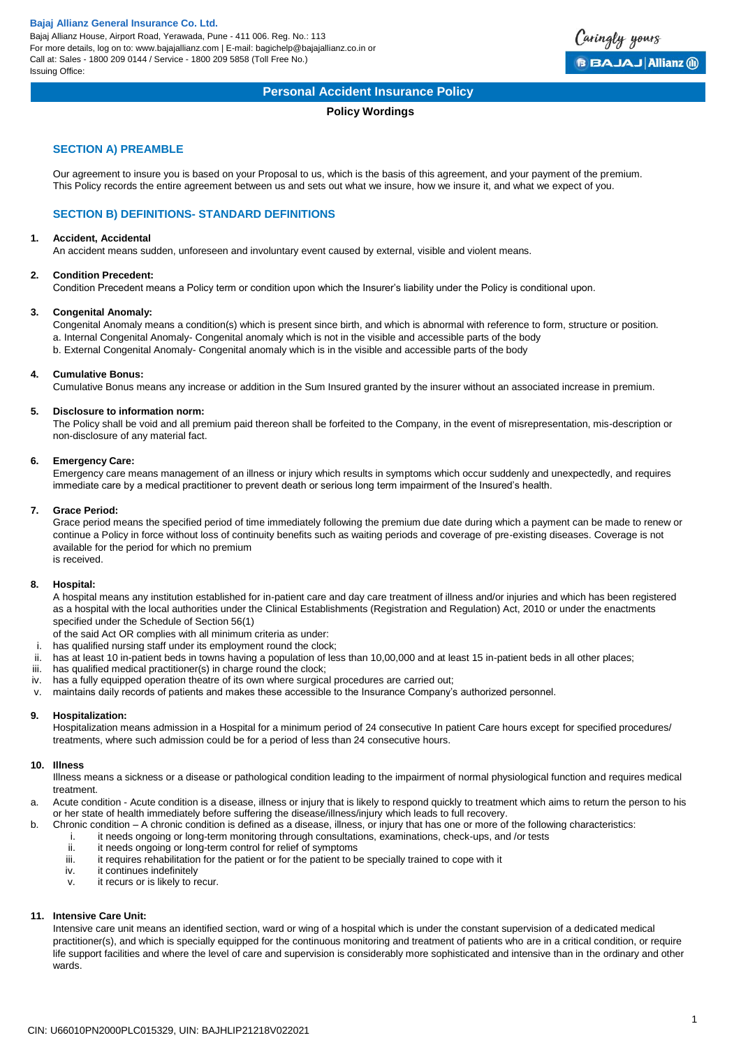Bajaj Allianz House, Airport Road, Yerawada, Pune - 411 006. Reg. No.: 113 For more details, log on to: www.bajajallianz.com | E-mail: bagichelp@bajajallianz.co.in or Call at: Sales - 1800 209 0144 / Service - 1800 209 5858 (Toll Free No.) Issuing Office:



# **Personal Accident Insurance Policy**

# **Policy Wordings**

# **SECTION A) PREAMBLE**

Our agreement to insure you is based on your Proposal to us, which is the basis of this agreement, and your payment of the premium. This Policy records the entire agreement between us and sets out what we insure, how we insure it, and what we expect of you.

# **SECTION B) DEFINITIONS- STANDARD DEFINITIONS**

#### **1. Accident, Accidental**

An accident means sudden, unforeseen and involuntary event caused by external, visible and violent means.

# **2. Condition Precedent:**

Condition Precedent means a Policy term or condition upon which the Insurer's liability under the Policy is conditional upon.

# **3. Congenital Anomaly:**

Congenital Anomaly means a condition(s) which is present since birth, and which is abnormal with reference to form, structure or position. a. Internal Congenital Anomaly- Congenital anomaly which is not in the visible and accessible parts of the body b. External Congenital Anomaly- Congenital anomaly which is in the visible and accessible parts of the body

# **4. Cumulative Bonus:**

Cumulative Bonus means any increase or addition in the Sum Insured granted by the insurer without an associated increase in premium.

#### **5. Disclosure to information norm:**

The Policy shall be void and all premium paid thereon shall be forfeited to the Company, in the event of misrepresentation, mis-description or non-disclosure of any material fact.

# **6. Emergency Care:**

Emergency care means management of an illness or injury which results in symptoms which occur suddenly and unexpectedly, and requires immediate care by a medical practitioner to prevent death or serious long term impairment of the Insured's health.

## **7. Grace Period:**

Grace period means the specified period of time immediately following the premium due date during which a payment can be made to renew or continue a Policy in force without loss of continuity benefits such as waiting periods and coverage of pre-existing diseases. Coverage is not available for the period for which no premium is received.

#### **8. Hospital:**

A hospital means any institution established for in-patient care and day care treatment of illness and/or injuries and which has been registered as a hospital with the local authorities under the Clinical Establishments (Registration and Regulation) Act, 2010 or under the enactments specified under the Schedule of Section 56(1)

- of the said Act OR complies with all minimum criteria as under:
- i. has qualified nursing staff under its employment round the clock;
- ii. has at least 10 in-patient beds in towns having a population of less than 10,00,000 and at least 15 in-patient beds in all other places;
- iii. has qualified medical practitioner(s) in charge round the clock;
- iv. has a fully equipped operation theatre of its own where surgical procedures are carried out;
- v. maintains daily records of patients and makes these accessible to the Insurance Company's authorized personnel.

## **9. Hospitalization:**

Hospitalization means admission in a Hospital for a minimum period of 24 consecutive In patient Care hours except for specified procedures/ treatments, where such admission could be for a period of less than 24 consecutive hours.

#### **10. Illness**

Illness means a sickness or a disease or pathological condition leading to the impairment of normal physiological function and requires medical treatment.

- a. Acute condition Acute condition is a disease, illness or injury that is likely to respond quickly to treatment which aims to return the person to his or her state of health immediately before suffering the disease/illness/injury which leads to full recovery.
- b. Chronic condition A chronic condition is defined as a disease, illness, or injury that has one or more of the following characteristics:
	- i. it needs ongoing or long-term monitoring through consultations, examinations, check-ups, and /or tests<br>ii. it needs ongoing or long-term control for relief of symptoms
	- ii. it needs ongoing or long-term control for relief of symptoms<br>iii. it requires rehabilitation for the patient or for the patient to b
	- it requires rehabilitation for the patient or for the patient to be specially trained to cope with it
	- iv. it continues indefinitely
	- v. it recurs or is likely to recur.

# **11. Intensive Care Unit:**

Intensive care unit means an identified section, ward or wing of a hospital which is under the constant supervision of a dedicated medical practitioner(s), and which is specially equipped for the continuous monitoring and treatment of patients who are in a critical condition, or require life support facilities and where the level of care and supervision is considerably more sophisticated and intensive than in the ordinary and other wards.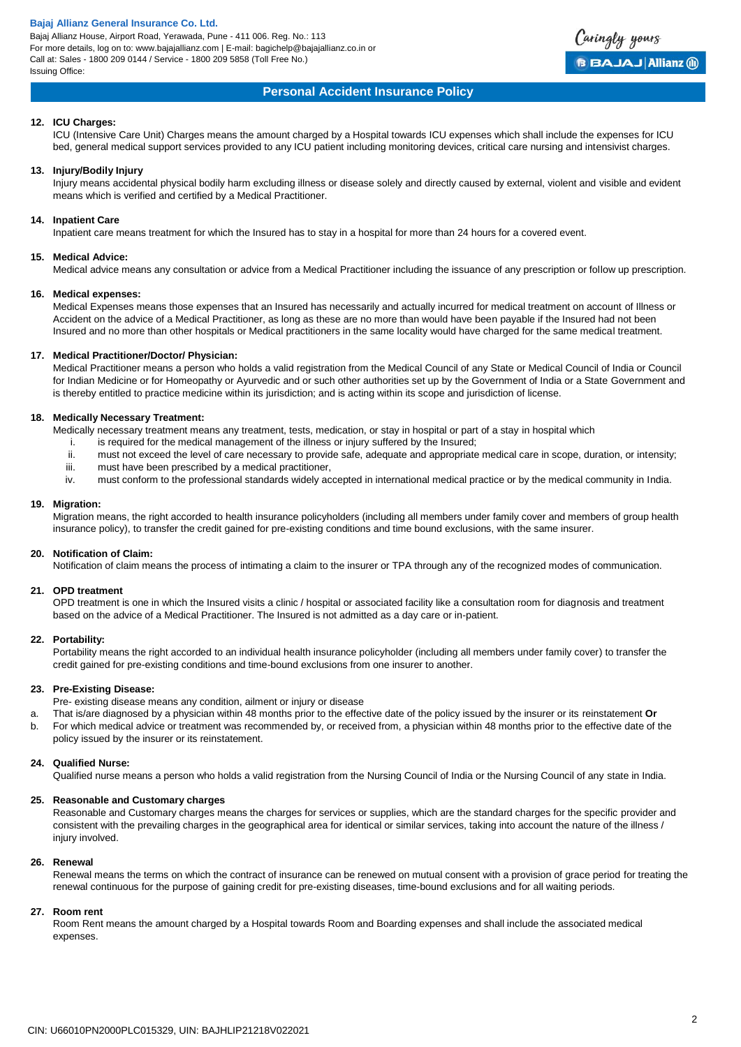Bajaj Allianz House, Airport Road, Yerawada, Pune - 411 006. Reg. No.: 113 For more details, log on to: www.bajajallianz.com | E-mail: bagichelp@bajajallianz.co.in or Call at: Sales - 1800 209 0144 / Service - 1800 209 5858 (Toll Free No.) Issuing Office:



# **Personal Accident Insurance Policy**

#### **12. ICU Charges:**

ICU (Intensive Care Unit) Charges means the amount charged by a Hospital towards ICU expenses which shall include the expenses for ICU bed, general medical support services provided to any ICU patient including monitoring devices, critical care nursing and intensivist charges.

#### **13. Injury/Bodily Injury**

Injury means accidental physical bodily harm excluding illness or disease solely and directly caused by external, violent and visible and evident means which is verified and certified by a Medical Practitioner.

#### **14. Inpatient Care**

Inpatient care means treatment for which the Insured has to stay in a hospital for more than 24 hours for a covered event.

#### **15. Medical Advice:**

Medical advice means any consultation or advice from a Medical Practitioner including the issuance of any prescription or follow up prescription.

#### **16. Medical expenses:**

Medical Expenses means those expenses that an Insured has necessarily and actually incurred for medical treatment on account of Illness or Accident on the advice of a Medical Practitioner, as long as these are no more than would have been payable if the Insured had not been Insured and no more than other hospitals or Medical practitioners in the same locality would have charged for the same medical treatment.

#### **17. Medical Practitioner/Doctor/ Physician:**

Medical Practitioner means a person who holds a valid registration from the Medical Council of any State or Medical Council of India or Council for Indian Medicine or for Homeopathy or Ayurvedic and or such other authorities set up by the Government of India or a State Government and is thereby entitled to practice medicine within its jurisdiction; and is acting within its scope and jurisdiction of license.

#### **18. Medically Necessary Treatment:**

Medically necessary treatment means any treatment, tests, medication, or stay in hospital or part of a stay in hospital which

- i. is required for the medical management of the illness or injury suffered by the Insured;<br>ii. must not exceed the level of care necessary to provide safe, adequate and appropriate
- must not exceed the level of care necessary to provide safe, adequate and appropriate medical care in scope, duration, or intensity;
- iii. must have been prescribed by a medical practitioner,
- iv. must conform to the professional standards widely accepted in international medical practice or by the medical community in India.

#### **19. Migration:**

Migration means, the right accorded to health insurance policyholders (including all members under family cover and members of group health insurance policy), to transfer the credit gained for pre-existing conditions and time bound exclusions, with the same insurer.

#### **20. Notification of Claim:**

Notification of claim means the process of intimating a claim to the insurer or TPA through any of the recognized modes of communication.

## **21. OPD treatment**

OPD treatment is one in which the Insured visits a clinic / hospital or associated facility like a consultation room for diagnosis and treatment based on the advice of a Medical Practitioner. The Insured is not admitted as a day care or in-patient.

#### **22. Portability:**

Portability means the right accorded to an individual health insurance policyholder (including all members under family cover) to transfer the credit gained for pre-existing conditions and time-bound exclusions from one insurer to another.

#### **23. Pre-Existing Disease:**

Pre- existing disease means any condition, ailment or injury or disease

- a. That is/are diagnosed by a physician within 48 months prior to the effective date of the policy issued by the insurer or its reinstatement **Or**
- b. For which medical advice or treatment was recommended by, or received from, a physician within 48 months prior to the effective date of the policy issued by the insurer or its reinstatement.

#### **24. Qualified Nurse:**

Qualified nurse means a person who holds a valid registration from the Nursing Council of India or the Nursing Council of any state in India.

#### **25. Reasonable and Customary charges**

Reasonable and Customary charges means the charges for services or supplies, which are the standard charges for the specific provider and consistent with the prevailing charges in the geographical area for identical or similar services, taking into account the nature of the illness / injury involved.

#### **26. Renewal**

Renewal means the terms on which the contract of insurance can be renewed on mutual consent with a provision of grace period for treating the renewal continuous for the purpose of gaining credit for pre-existing diseases, time-bound exclusions and for all waiting periods.

#### **27. Room rent**

Room Rent means the amount charged by a Hospital towards Room and Boarding expenses and shall include the associated medical expenses.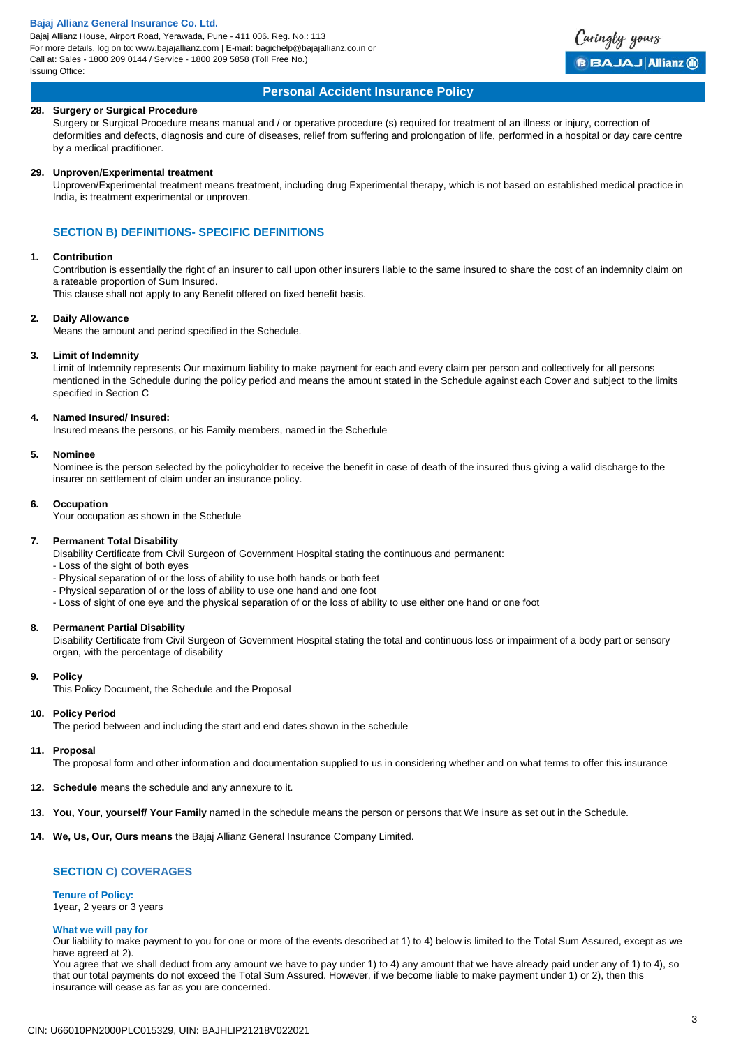Bajaj Allianz House, Airport Road, Yerawada, Pune - 411 006. Reg. No.: 113 For more details, log on to: www.bajajallianz.com | E-mail: bagichelp@bajajallianz.co.in or Call at: Sales - 1800 209 0144 / Service - 1800 209 5858 (Toll Free No.) Issuing Office:



#### **Personal Accident Insurance Policy**

#### **28. Surgery or Surgical Procedure**

Surgery or Surgical Procedure means manual and / or operative procedure (s) required for treatment of an illness or injury, correction of deformities and defects, diagnosis and cure of diseases, relief from suffering and prolongation of life, performed in a hospital or day care centre by a medical practitioner.

#### **29. Unproven/Experimental treatment**

Unproven/Experimental treatment means treatment, including drug Experimental therapy, which is not based on established medical practice in India, is treatment experimental or unproven.

## **SECTION B) DEFINITIONS- SPECIFIC DEFINITIONS**

#### **1. Contribution**

Contribution is essentially the right of an insurer to call upon other insurers liable to the same insured to share the cost of an indemnity claim on a rateable proportion of Sum Insured.

This clause shall not apply to any Benefit offered on fixed benefit basis.

#### **2. Daily Allowance**

Means the amount and period specified in the Schedule.

#### **3. Limit of Indemnity**

Limit of Indemnity represents Our maximum liability to make payment for each and every claim per person and collectively for all persons mentioned in the Schedule during the policy period and means the amount stated in the Schedule against each Cover and subject to the limits specified in Section C

#### **4. Named Insured/ Insured:**

Insured means the persons, or his Family members, named in the Schedule

#### **5. Nominee**

Nominee is the person selected by the policyholder to receive the benefit in case of death of the insured thus giving a valid discharge to the insurer on settlement of claim under an insurance policy.

#### **6. Occupation**

Your occupation as shown in the Schedule

#### **7. Permanent Total Disability**

Disability Certificate from Civil Surgeon of Government Hospital stating the continuous and permanent:

- Loss of the sight of both eyes
- Physical separation of or the loss of ability to use both hands or both feet
- Physical separation of or the loss of ability to use one hand and one foot
- Loss of sight of one eye and the physical separation of or the loss of ability to use either one hand or one foot

#### **8. Permanent Partial Disability**

Disability Certificate from Civil Surgeon of Government Hospital stating the total and continuous loss or impairment of a body part or sensory organ, with the percentage of disability

#### **9. Policy**

This Policy Document, the Schedule and the Proposal

#### **10. Policy Period**

The period between and including the start and end dates shown in the schedule

#### **11. Proposal**

The proposal form and other information and documentation supplied to us in considering whether and on what terms to offer this insurance

- **12. Schedule** means the schedule and any annexure to it.
- **13. You, Your, yourself/ Your Family** named in the schedule means the person or persons that We insure as set out in the Schedule.
- **14. We, Us, Our, Ours means** the Bajaj Allianz General Insurance Company Limited.

#### **SECTION C) COVERAGES**

#### **Tenure of Policy:** 1year, 2 years or 3 years

#### **What we will pay for**

Our liability to make payment to you for one or more of the events described at 1) to 4) below is limited to the Total Sum Assured, except as we have agreed at 2).

You agree that we shall deduct from any amount we have to pay under 1) to 4) any amount that we have already paid under any of 1) to 4), so that our total payments do not exceed the Total Sum Assured. However, if we become liable to make payment under 1) or 2), then this insurance will cease as far as you are concerned.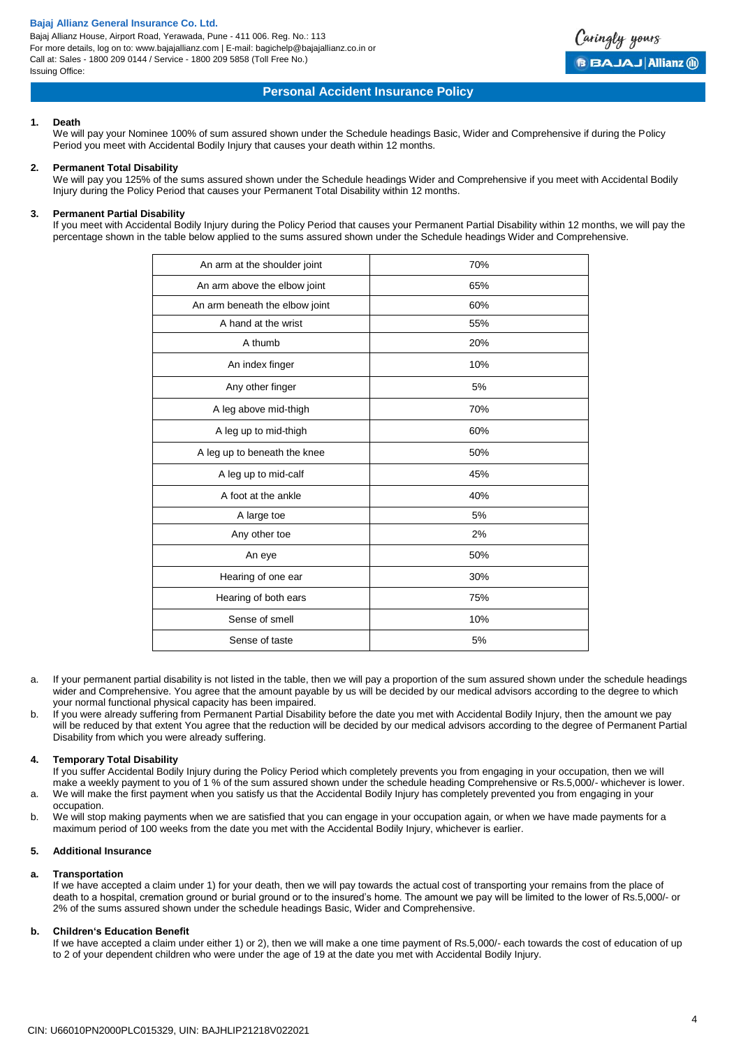Bajaj Allianz House, Airport Road, Yerawada, Pune - 411 006. Reg. No.: 113 For more details, log on to: www.bajajallianz.com | E-mail: bagichelp@bajajallianz.co.in or Call at: Sales - 1800 209 0144 / Service - 1800 209 5858 (Toll Free No.) Issuing Office:



## **Personal Accident Insurance Policy**

#### **1. Death**

We will pay your Nominee 100% of sum assured shown under the Schedule headings Basic. Wider and Comprehensive if during the Policy Period you meet with Accidental Bodily Injury that causes your death within 12 months.

#### **2. Permanent Total Disability**

We will pay you 125% of the sums assured shown under the Schedule headings Wider and Comprehensive if you meet with Accidental Bodily Injury during the Policy Period that causes your Permanent Total Disability within 12 months.

## **3. Permanent Partial Disability**

If you meet with Accidental Bodily Injury during the Policy Period that causes your Permanent Partial Disability within 12 months, we will pay the percentage shown in the table below applied to the sums assured shown under the Schedule headings Wider and Comprehensive.

| An arm at the shoulder joint   | 70% |
|--------------------------------|-----|
| An arm above the elbow joint   | 65% |
| An arm beneath the elbow joint | 60% |
| A hand at the wrist            | 55% |
| A thumb                        | 20% |
| An index finger                | 10% |
| Any other finger               | 5%  |
| A leg above mid-thigh          | 70% |
| A leg up to mid-thigh          | 60% |
| A leg up to beneath the knee   | 50% |
| A leg up to mid-calf           | 45% |
| A foot at the ankle            | 40% |
| A large toe                    | 5%  |
| Any other toe                  | 2%  |
| An eye                         | 50% |
| Hearing of one ear             | 30% |
| Hearing of both ears           | 75% |
| Sense of smell                 | 10% |
| Sense of taste                 | 5%  |

- a. If your permanent partial disability is not listed in the table, then we will pay a proportion of the sum assured shown under the schedule headings wider and Comprehensive. You agree that the amount payable by us will be decided by our medical advisors according to the degree to which your normal functional physical capacity has been impaired.
- b. If you were already suffering from Permanent Partial Disability before the date you met with Accidental Bodily Injury, then the amount we pay will be reduced by that extent You agree that the reduction will be decided by our medical advisors according to the degree of Permanent Partial Disability from which you were already suffering.

#### **4. Temporary Total Disability**

If you suffer Accidental Bodily Injury during the Policy Period which completely prevents you from engaging in your occupation, then we will make a weekly payment to you of 1 % of the sum assured shown under the schedule heading Comprehensive or Rs.5,000/- whichever is lower.

a. We will make the first payment when you satisfy us that the Accidental Bodily Injury has completely prevented you from engaging in your occupation.

b. We will stop making payments when we are satisfied that you can engage in your occupation again, or when we have made payments for a maximum period of 100 weeks from the date you met with the Accidental Bodily Injury, whichever is earlier.

#### **5. Additional Insurance**

#### **a. Transportation**

If we have accepted a claim under 1) for your death, then we will pay towards the actual cost of transporting your remains from the place of death to a hospital, cremation ground or burial ground or to the insured's home. The amount we pay will be limited to the lower of Rs.5,000/- or 2% of the sums assured shown under the schedule headings Basic, Wider and Comprehensive.

#### **b. Children's Education Benefit**

If we have accepted a claim under either 1) or 2), then we will make a one time payment of Rs.5,000/- each towards the cost of education of up to 2 of your dependent children who were under the age of 19 at the date you met with Accidental Bodily Injury.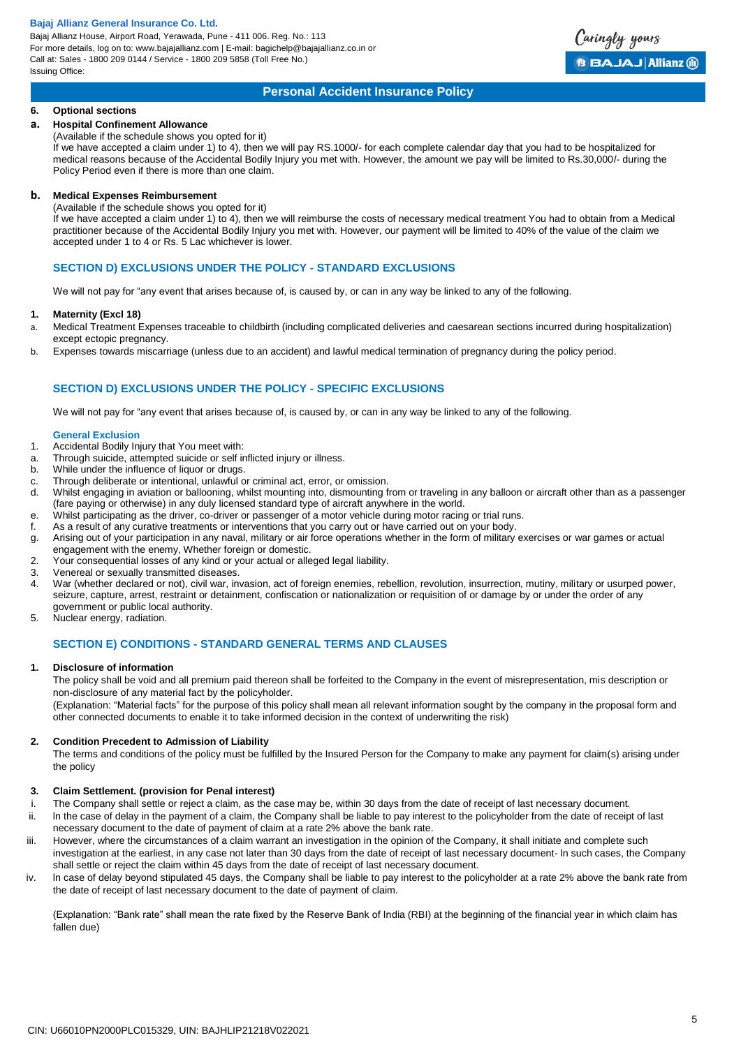Bajaj Allianz House, Airport Road, Yerawada, Pune - 411 006. Reg. No.: 113 For more details, log on to: www.bajajallianz.com | E-mail: bagichelp@bajajallianz.co.in or Call at: Sales - 1800 209 0144 / Service - 1800 209 5858 (Toll Free No.) Issuing Office:



# **Personal Accident Insurance Policy**

#### **6. Optional sections**

# **a. Hospital Confinement Allowance**

(Available if the schedule shows you opted for it)

If we have accepted a claim under 1) to 4), then we will pay RS.1000/- for each complete calendar day that you had to be hospitalized for medical reasons because of the Accidental Bodily Injury you met with. However, the amount we pay will be limited to Rs.30,000/- during the Policy Period even if there is more than one claim.

# **b. Medical Expenses Reimbursement**

(Available if the schedule shows you opted for it)

If we have accepted a claim under 1) to 4), then we will reimburse the costs of necessary medical treatment You had to obtain from a Medical practitioner because of the Accidental Bodily Injury you met with. However, our payment will be limited to 40% of the value of the claim we accepted under 1 to 4 or Rs. 5 Lac whichever is lower.

## **SECTION D) EXCLUSIONS UNDER THE POLICY - STANDARD EXCLUSIONS**

We will not pay for "any event that arises because of, is caused by, or can in any way be linked to any of the following.

#### **1. Maternity (Excl 18)**

- a. Medical Treatment Expenses traceable to childbirth (including complicated deliveries and caesarean sections incurred during hospitalization) except ectopic pregnancy.
- b. Expenses towards miscarriage (unless due to an accident) and lawful medical termination of pregnancy during the policy period.

# **SECTION D) EXCLUSIONS UNDER THE POLICY - SPECIFIC EXCLUSIONS**

We will not pay for "any event that arises because of, is caused by, or can in any way be linked to any of the following.

#### **General Exclusion**

- 1. Accidental Bodily Injury that You meet with:
- a. Through suicide, attempted suicide or self inflicted injury or illness.
- b. While under the influence of liquor or drugs.
- c. Through deliberate or intentional, unlawful or criminal act, error, or omission.
- d. Whilst engaging in aviation or ballooning, whilst mounting into, dismounting from or traveling in any balloon or aircraft other than as a passenger (fare paying or otherwise) in any duly licensed standard type of aircraft anywhere in the world.
- e. Whilst participating as the driver, co-driver or passenger of a motor vehicle during motor racing or trial runs.
- f. As a result of any curative treatments or interventions that you carry out or have carried out on your body.
- g. Arising out of your participation in any naval, military or air force operations whether in the form of military exercises or war games or actual
- engagement with the enemy, Whether foreign or domestic.
- 2. Your consequential losses of any kind or your actual or alleged legal liability.
- 3. Venereal or sexually transmitted diseases.
- 4. War (whether declared or not), civil war, invasion, act of foreign enemies, rebellion, revolution, insurrection, mutiny, military or usurped power, seizure, capture, arrest, restraint or detainment, confiscation or nationalization or requisition of or damage by or under the order of any government or public local authority.
- 5. Nuclear energy, radiation.

# **SECTION E) CONDITIONS - STANDARD GENERAL TERMS AND CLAUSES**

#### **1. Disclosure of information**

The policy shall be void and all premium paid thereon shall be forfeited to the Company in the event of misrepresentation, mis description or non-disclosure of any material fact by the policyholder.

(Explanation: "Material facts" for the purpose of this policy shall mean all relevant information sought by the company in the proposal form and other connected documents to enable it to take informed decision in the context of underwriting the risk)

#### **2. Condition Precedent to Admission of Liability**

The terms and conditions of the policy must be fulfilled by the Insured Person for the Company to make any payment for claim(s) arising under the policy

#### **3. Claim Settlement. (provision for Penal interest)**

- i. The Company shall settle or reject a claim, as the case may be, within 30 days from the date of receipt of last necessary document.
- ii. ln the case of delay in the payment of a claim, the Company shall be liable to pay interest to the policyholder from the date of receipt of last necessary document to the date of payment of claim at a rate 2% above the bank rate.
- iii. However, where the circumstances of a claim warrant an investigation in the opinion of the Company, it shall initiate and complete such investigation at the earliest, in any case not later than 30 days from the date of receipt of last necessary document- ln such cases, the Company shall settle or reject the claim within 45 days from the date of receipt of last necessary document.
- iv. ln case of delay beyond stipulated 45 days, the Company shall be liable to pay interest to the policyholder at a rate 2% above the bank rate from the date of receipt of last necessary document to the date of payment of claim.

(Explanation: "Bank rate" shall mean the rate fixed by the Reserve Bank of India (RBI) at the beginning of the financial year in which claim has fallen due)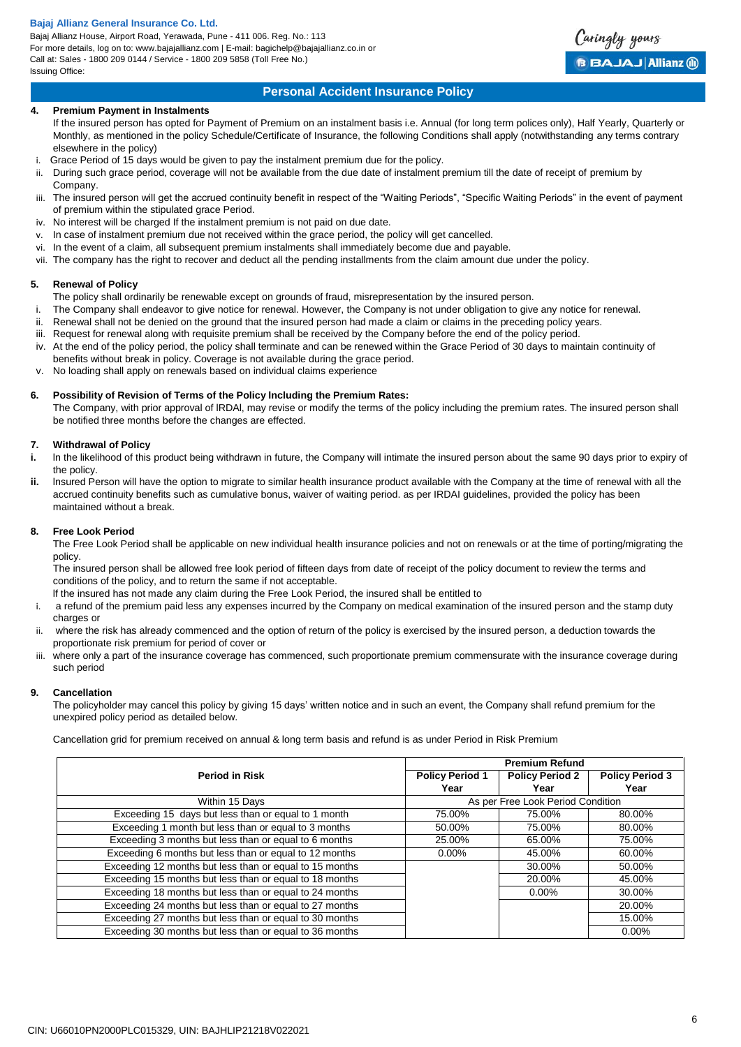Bajaj Allianz House, Airport Road, Yerawada, Pune - 411 006. Reg. No.: 113 For more details, log on to: www.bajajallianz.com | E-mail: bagichelp@bajajallianz.co.in or Call at: Sales - 1800 209 0144 / Service - 1800 209 5858 (Toll Free No.) Issuing Office:



# **Personal Accident Insurance Policy**

## **4. Premium Payment in Instalments**

If the insured person has opted for Payment of Premium on an instalment basis i.e. Annual (for long term polices only), Half Yearly, Quarterly or Monthly, as mentioned in the policy Schedule/Certificate of Insurance, the following Conditions shall apply (notwithstanding any terms contrary elsewhere in the policy)

- i. Grace Period of 15 days would be given to pay the instalment premium due for the policy.
- ii. During such grace period, coverage will not be available from the due date of instalment premium till the date of receipt of premium by Company.
- iii. The insured person will get the accrued continuity benefit in respect of the "Waiting Periods", "Specific Waiting Periods" in the event of payment of premium within the stipulated grace Period.
- iv. No interest will be charged If the instalment premium is not paid on due date.
- v. In case of instalment premium due not received within the grace period, the policy will get cancelled.
- vi. In the event of a claim, all subsequent premium instalments shall immediately become due and payable.
- vii. The company has the right to recover and deduct all the pending installments from the claim amount due under the policy.

#### **5. Renewal of Policy**

The policy shall ordinarily be renewable except on grounds of fraud, misrepresentation by the insured person.

- i. The Company shall endeavor to give notice for renewal. However, the Company is not under obligation to give any notice for renewal.
- ii. Renewal shall not be denied on the ground that the insured person had made a claim or claims in the preceding policy years.
- iii. Request for renewal along with requisite premium shall be received by the Company before the end of the policy period.
- iv. At the end of the policy period, the policy shall terminate and can be renewed within the Grace Period of 30 days to maintain continuity of benefits without break in policy. Coverage is not available during the grace period.
- v. No loading shall apply on renewals based on individual claims experience

# **6. Possibility of Revision of Terms of the Policy lncluding the Premium Rates:**

The Company, with prior approval of lRDAl, may revise or modify the terms of the policy including the premium rates. The insured person shall be notified three months before the changes are effected.

# **7. Withdrawal of Policy**

- **i.** In the likelihood of this product being withdrawn in future, the Company will intimate the insured person about the same 90 days prior to expiry of the policy.
- **ii.** lnsured Person will have the option to migrate to similar health insurance product available with the Company at the time of renewal with all the accrued continuity benefits such as cumulative bonus, waiver of waiting period. as per IRDAI guidelines, provided the policy has been maintained without a break.

#### **8. Free Look Period**

The Free Look Period shall be applicable on new individual health insurance policies and not on renewals or at the time of porting/migrating the policy.

The insured person shall be allowed free look period of fifteen days from date of receipt of the policy document to review the terms and conditions of the policy, and to return the same if not acceptable.

lf the insured has not made any claim during the Free Look Period, the insured shall be entitled to

- i. a refund of the premium paid less any expenses incurred by the Company on medical examination of the insured person and the stamp duty charges or
- ii. where the risk has already commenced and the option of return of the policy is exercised by the insured person, a deduction towards the proportionate risk premium for period of cover or
- iii. where only a part of the insurance coverage has commenced, such proportionate premium commensurate with the insurance coverage during such period

#### **9. Cancellation**

The policyholder may cancel this policy by giving 15 days' written notice and in such an event, the Company shall refund premium for the unexpired policy period as detailed below.

Cancellation grid for premium received on annual & long term basis and refund is as under Period in Risk Premium

|                                                         |                        | <b>Premium Refund</b>             |                        |
|---------------------------------------------------------|------------------------|-----------------------------------|------------------------|
| <b>Period in Risk</b>                                   | <b>Policy Period 1</b> | <b>Policy Period 2</b>            | <b>Policy Period 3</b> |
|                                                         | Year                   | Year                              | Year                   |
| Within 15 Days                                          |                        | As per Free Look Period Condition |                        |
| Exceeding 15 days but less than or equal to 1 month     | 75.00%                 | 75.00%                            | 80.00%                 |
| Exceeding 1 month but less than or equal to 3 months    | 50.00%                 | 75.00%                            | 80.00%                 |
| Exceeding 3 months but less than or equal to 6 months   | 25.00%                 | 65.00%                            | 75.00%                 |
| Exceeding 6 months but less than or equal to 12 months  | $0.00\%$               | 45.00%                            | 60.00%                 |
| Exceeding 12 months but less than or equal to 15 months |                        | 30.00%                            | 50.00%                 |
| Exceeding 15 months but less than or equal to 18 months |                        | 20.00%                            | 45.00%                 |
| Exceeding 18 months but less than or equal to 24 months |                        | 0.00%                             | 30.00%                 |
| Exceeding 24 months but less than or equal to 27 months |                        |                                   | 20.00%                 |
| Exceeding 27 months but less than or equal to 30 months |                        |                                   | 15.00%                 |
| Exceeding 30 months but less than or equal to 36 months |                        |                                   | $0.00\%$               |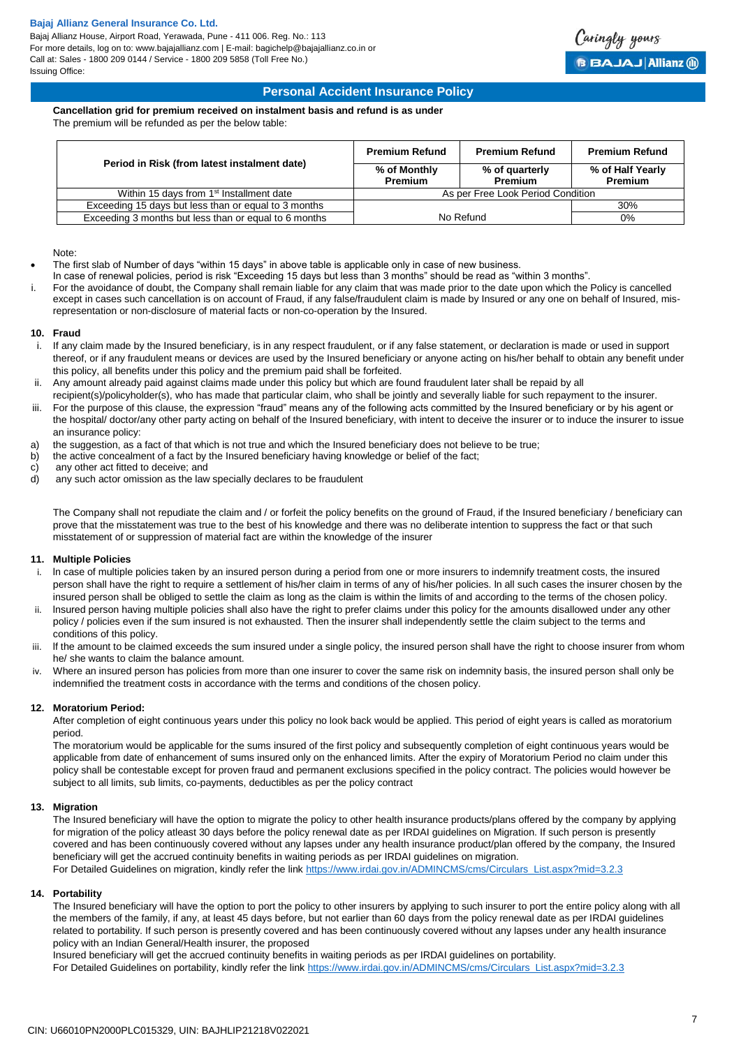Bajaj Allianz House, Airport Road, Yerawada, Pune - 411 006. Reg. No.: 113 For more details, log on to: www.bajajallianz.com | E-mail: bagichelp@bajajallianz.co.in or Call at: Sales - 1800 209 0144 / Service - 1800 209 5858 (Toll Free No.) Issuing Office:



# **Personal Accident Insurance Policy**

# **Cancellation grid for premium received on instalment basis and refund is as under**

The premium will be refunded as per the below table:

| Period in Risk (from latest instalment date)          | <b>Premium Refund</b>             | <b>Premium Refund</b>            | <b>Premium Refund</b>              |
|-------------------------------------------------------|-----------------------------------|----------------------------------|------------------------------------|
|                                                       | % of Monthly<br><b>Premium</b>    | % of quarterly<br><b>Premium</b> | % of Half Yearly<br><b>Premium</b> |
| Within 15 days from 1 <sup>st</sup> Installment date  | As per Free Look Period Condition |                                  |                                    |
| Exceeding 15 days but less than or equal to 3 months  |                                   |                                  | 30%                                |
| Exceeding 3 months but less than or equal to 6 months |                                   | No Refund                        | $0\%$                              |

Note:

- The first slab of Number of days "within 15 days" in above table is applicable only in case of new business.
- In case of renewal policies, period is risk "Exceeding 15 days but less than 3 months" should be read as "within 3 months".
- For the avoidance of doubt, the Company shall remain liable for any claim that was made prior to the date upon which the Policy is cancelled except in cases such cancellation is on account of Fraud, if any false/fraudulent claim is made by Insured or any one on behalf of Insured, misrepresentation or non-disclosure of material facts or non-co-operation by the Insured.

#### **10. Fraud**

- i. If any claim made by the Insured beneficiary, is in any respect fraudulent, or if any false statement, or declaration is made or used in support thereof, or if any fraudulent means or devices are used by the Insured beneficiary or anyone acting on his/her behalf to obtain any benefit under this policy, all benefits under this policy and the premium paid shall be forfeited.
- ii. Any amount already paid against claims made under this policy but which are found fraudulent later shall be repaid by all
- recipient(s)/policyholder(s), who has made that particular claim, who shall be jointly and severally liable for such repayment to the insurer.
- iii. For the purpose of this clause, the expression "fraud" means any of the following acts committed by the Insured beneficiary or by his agent or the hospital/ doctor/any other party acting on behalf of the Insured beneficiary, with intent to deceive the insurer or to induce the insurer to issue an insurance policy:
- a) the suggestion, as a fact of that which is not true and which the Insured beneficiary does not believe to be true;
- b) the active concealment of a fact by the Insured beneficiary having knowledge or belief of the fact;<br>c) any other act fitted to deceive; and
- any other act fitted to deceive; and
- d) any such actor omission as the law specially declares to be fraudulent

The Company shall not repudiate the claim and / or forfeit the policy benefits on the ground of Fraud, if the Insured beneficiary / beneficiary can prove that the misstatement was true to the best of his knowledge and there was no deliberate intention to suppress the fact or that such misstatement of or suppression of material fact are within the knowledge of the insurer

#### **11. Multiple Policies**

- i. ln case of multiple policies taken by an insured person during a period from one or more insurers to indemnify treatment costs, the insured person shall have the right to require a settlement of his/her claim in terms of any of his/her policies. ln all such cases the insurer chosen by the insured person shall be obliged to settle the claim as long as the claim is within the limits of and according to the terms of the chosen policy. ii. lnsured person having multiple policies shall also have the right to prefer claims under this policy for the amounts disallowed under any other
- policy / policies even if the sum insured is not exhausted. Then the insurer shall independently settle the claim subject to the terms and conditions of this policy.
- iii. If the amount to be claimed exceeds the sum insured under a single policy, the insured person shall have the right to choose insurer from whom he/ she wants to claim the balance amount.
- iv. Where an insured person has policies from more than one insurer to cover the same risk on indemnity basis, the insured person shall only be indemnified the treatment costs in accordance with the terms and conditions of the chosen policy.

#### **12. Moratorium Period:**

After completion of eight continuous years under this policy no look back would be applied. This period of eight years is called as moratorium period.

The moratorium would be applicable for the sums insured of the first policy and subsequently completion of eight continuous years would be applicable from date of enhancement of sums insured only on the enhanced limits. After the expiry of Moratorium Period no claim under this policy shall be contestable except for proven fraud and permanent exclusions specified in the policy contract. The policies would however be subject to all limits, sub limits, co-payments, deductibles as per the policy contract

#### **13. Migration**

The Insured beneficiary will have the option to migrate the policy to other health insurance products/plans offered by the company by applying for migration of the policy atleast 30 days before the policy renewal date as per IRDAI guidelines on Migration. If such person is presently covered and has been continuously covered without any lapses under any health insurance product/plan offered by the company, the Insured beneficiary will get the accrued continuity benefits in waiting periods as per IRDAI guidelines on migration.

For Detailed Guidelines on migration, kindly refer the link [https://www.irdai.gov.in/ADMINCMS/cms/Circulars\\_List.aspx?mid=3.2.3](https://www.irdai.gov.in/ADMINCMS/cms/Circulars_List.aspx?mid=3.2.3)

#### **14. Portability**

The Insured beneficiary will have the option to port the policy to other insurers by applying to such insurer to port the entire policy along with all the members of the family, if any, at least 45 days before, but not earlier than 60 days from the policy renewal date as per IRDAI guidelines related to portability. If such person is presently covered and has been continuously covered without any lapses under any health insurance policy with an Indian General/Health insurer, the proposed

Insured beneficiary will get the accrued continuity benefits in waiting periods as per IRDAI guidelines on portability.

For Detailed Guidelines on portability, kindly refer the link [https://www.irdai.gov.in/ADMINCMS/cms/Circulars\\_List.aspx?mid=3.2.3](https://www.irdai.gov.in/ADMINCMS/cms/Circulars_List.aspx?mid=3.2.3)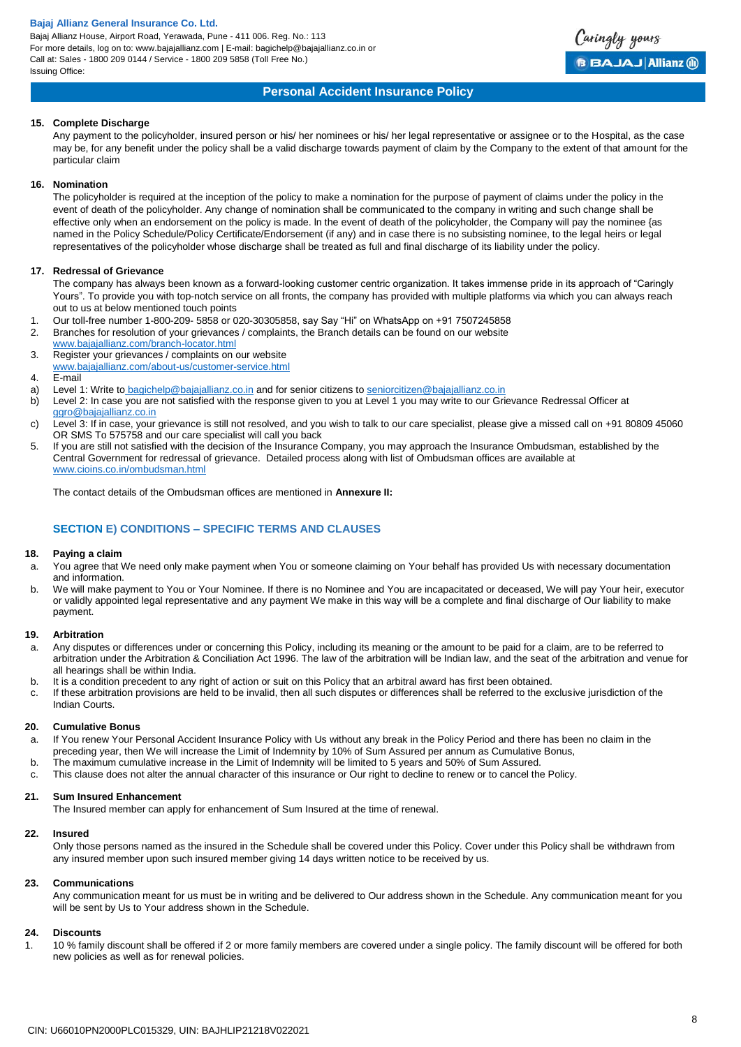Bajaj Allianz House, Airport Road, Yerawada, Pune - 411 006. Reg. No.: 113 For more details, log on to: www.bajajallianz.com | E-mail: bagichelp@bajajallianz.co.in or Call at: Sales - 1800 209 0144 / Service - 1800 209 5858 (Toll Free No.) Issuing Office:



# **Personal Accident Insurance Policy**

#### **15. Complete Discharge**

Any payment to the policyholder, insured person or his/ her nominees or his/ her legal representative or assignee or to the Hospital, as the case may be, for any benefit under the policy shall be a valid discharge towards payment of claim by the Company to the extent of that amount for the particular claim

#### **16. Nomination**

The policyholder is required at the inception of the policy to make a nomination for the purpose of payment of claims under the policy in the event of death of the policyholder. Any change of nomination shall be communicated to the company in writing and such change shall be effective only when an endorsement on the policy is made. ln the event of death of the policyholder, the Company will pay the nominee {as named in the Policy Schedule/Policy Certificate/Endorsement (if any) and in case there is no subsisting nominee, to the legal heirs or legal representatives of the policyholder whose discharge shall be treated as full and final discharge of its liability under the policy.

#### **17. Redressal of Grievance**

The company has always been known as a forward-looking customer centric organization. It takes immense pride in its approach of "Caringly Yours". To provide you with top-notch service on all fronts, the company has provided with multiple platforms via which you can always reach out to us at below mentioned touch points

- 1. Our toll-free number 1-800-209- 5858 or 020-30305858, say Say "Hi" on WhatsApp on +91 7507245858
- 2. Branches for resolution of your grievances / complaints, the Branch details can be found on our website [www.bajajallianz.com/branch-locator.html](http://www.bajajallianz.com/branch-locator.html)
- 3. Register your grievances / complaints on our website [www.bajajallianz.com/about-us/customer-service.html](http://www.bajajallianz.com/about-us/customer-service.html)
- 4. E-mail
- a) Level 1: Write to [bagichelp@bajajallianz.co.in](mailto:bagichelp@bajajallianz.co.in) and for senior citizens to [seniorcitizen@bajajallianz.co.in](mailto:seniorcitizen@bajajallianz.co.in)
- b) Level 2: In case you are not satisfied with the response given to you at Level 1 you may write to our Grievance Redressal Officer at [ggro@bajajallianz.co.in](mailto:ggro@bajajallianz.co.in)
- c) Level 3: If in case, your grievance is still not resolved, and you wish to talk to our care specialist, please give a missed call on +91 80809 45060 OR SMS To 575758 and our care specialist will call you back
- 5. If you are still not satisfied with the decision of the Insurance Company, you may approach the Insurance Ombudsman, established by the Central Government for redressal of grievance. Detailed process along with list of Ombudsman offices are available at [www.cioins.co.in/ombudsman.html](http://www.cioins.co.in/ombudsman.html)

The contact details of the Ombudsman offices are mentioned in **Annexure II:**

# **SECTION E) CONDITIONS – SPECIFIC TERMS AND CLAUSES**

#### **18. Paying a claim**

- a. You agree that We need only make payment when You or someone claiming on Your behalf has provided Us with necessary documentation and information.
- b. We will make payment to You or Your Nominee. If there is no Nominee and You are incapacitated or deceased, We will pay Your heir, executor or validly appointed legal representative and any payment We make in this way will be a complete and final discharge of Our liability to make payment.

#### **19. Arbitration**

- a. Any disputes or differences under or concerning this Policy, including its meaning or the amount to be paid for a claim, are to be referred to arbitration under the Arbitration & Conciliation Act 1996. The law of the arbitration will be Indian law, and the seat of the arbitration and venue for all hearings shall be within India.
- b. It is a condition precedent to any right of action or suit on this Policy that an arbitral award has first been obtained.
- c. If these arbitration provisions are held to be invalid, then all such disputes or differences shall be referred to the exclusive jurisdiction of the Indian Courts.

#### **20. Cumulative Bonus**

- a. If You renew Your Personal Accident Insurance Policy with Us without any break in the Policy Period and there has been no claim in the preceding year, then We will increase the Limit of Indemnity by 10% of Sum Assured per annum as Cumulative Bonus,
- b. The maximum cumulative increase in the Limit of Indemnity will be limited to 5 years and 50% of Sum Assured.
- c. This clause does not alter the annual character of this insurance or Our right to decline to renew or to cancel the Policy.

## **21. Sum Insured Enhancement**

The Insured member can apply for enhancement of Sum Insured at the time of renewal.

#### **22. Insured**

Only those persons named as the insured in the Schedule shall be covered under this Policy. Cover under this Policy shall be withdrawn from any insured member upon such insured member giving 14 days written notice to be received by us.

#### **23. Communications**

Any communication meant for us must be in writing and be delivered to Our address shown in the Schedule. Any communication meant for you will be sent by Us to Your address shown in the Schedule.

## **24. Discounts**

1. 10 % family discount shall be offered if 2 or more family members are covered under a single policy. The family discount will be offered for both new policies as well as for renewal policies.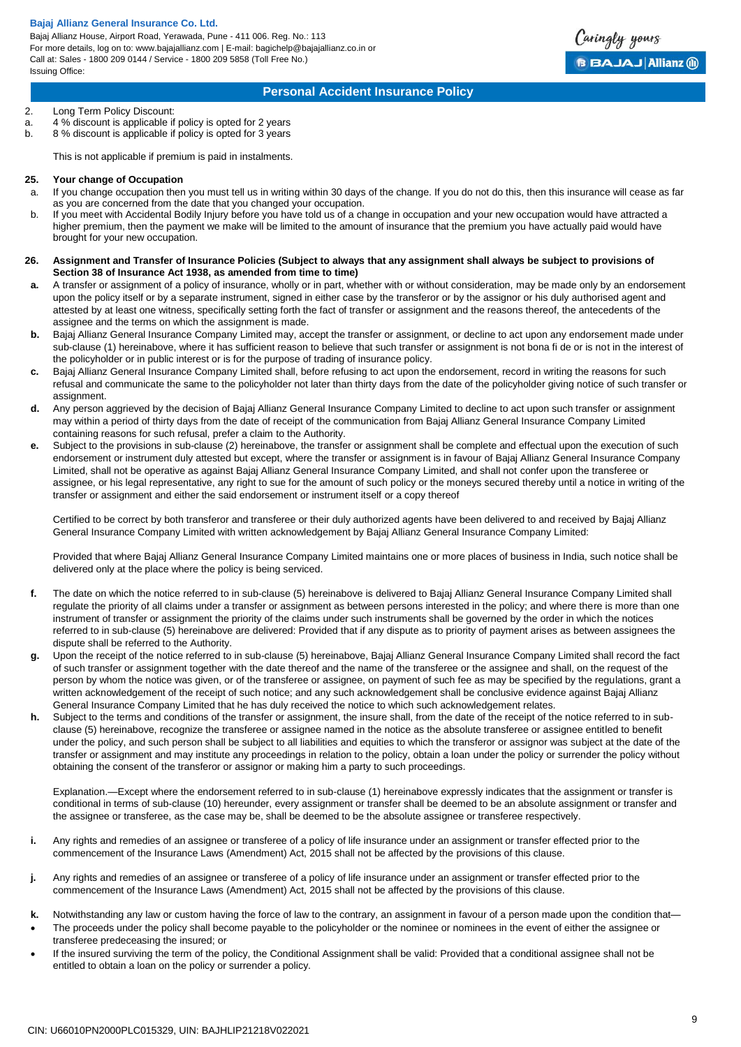Bajaj Allianz House, Airport Road, Yerawada, Pune - 411 006. Reg. No.: 113 For more details, log on to: www.bajajallianz.com | E-mail: bagichelp@bajajallianz.co.in or Call at: Sales - 1800 209 0144 / Service - 1800 209 5858 (Toll Free No.) Issuing Office:



# **Personal Accident Insurance Policy**

# 2. Long Term Policy Discount:

- a.  $4\%$  discount is applicable if policy is opted for 2 years<br>b.  $8\%$  discount is applicable if policy is opted for 3 years
- 8 % discount is applicable if policy is opted for 3 years

This is not applicable if premium is paid in instalments.

#### **25. Your change of Occupation**

- a. If you change occupation then you must tell us in writing within 30 days of the change. If you do not do this, then this insurance will cease as far as you are concerned from the date that you changed your occupation.
- b. If you meet with Accidental Bodily Injury before you have told us of a change in occupation and your new occupation would have attracted a higher premium, then the payment we make will be limited to the amount of insurance that the premium you have actually paid would have brought for your new occupation.
- **26. Assignment and Transfer of Insurance Policies (Subject to always that any assignment shall always be subject to provisions of Section 38 of Insurance Act 1938, as amended from time to time)**
- **a.** A transfer or assignment of a policy of insurance, wholly or in part, whether with or without consideration, may be made only by an endorsement upon the policy itself or by a separate instrument, signed in either case by the transferor or by the assignor or his duly authorised agent and attested by at least one witness, specifically setting forth the fact of transfer or assignment and the reasons thereof, the antecedents of the assignee and the terms on which the assignment is made.
- **b.** Bajaj Allianz General Insurance Company Limited may, accept the transfer or assignment, or decline to act upon any endorsement made under sub-clause (1) hereinabove, where it has sufficient reason to believe that such transfer or assignment is not bona fi de or is not in the interest of the policyholder or in public interest or is for the purpose of trading of insurance policy.
- **c.** Bajaj Allianz General Insurance Company Limited shall, before refusing to act upon the endorsement, record in writing the reasons for such refusal and communicate the same to the policyholder not later than thirty days from the date of the policyholder giving notice of such transfer or assignment.
- **d.** Any person aggrieved by the decision of Bajaj Allianz General Insurance Company Limited to decline to act upon such transfer or assignment may within a period of thirty days from the date of receipt of the communication from Bajaj Allianz General Insurance Company Limited containing reasons for such refusal, prefer a claim to the Authority.
- **e.** Subject to the provisions in sub-clause (2) hereinabove, the transfer or assignment shall be complete and effectual upon the execution of such endorsement or instrument duly attested but except, where the transfer or assignment is in favour of Bajaj Allianz General Insurance Company Limited, shall not be operative as against Bajaj Allianz General Insurance Company Limited, and shall not confer upon the transferee or assignee, or his legal representative, any right to sue for the amount of such policy or the moneys secured thereby until a notice in writing of the transfer or assignment and either the said endorsement or instrument itself or a copy thereof

Certified to be correct by both transferor and transferee or their duly authorized agents have been delivered to and received by Bajaj Allianz General Insurance Company Limited with written acknowledgement by Bajaj Allianz General Insurance Company Limited:

Provided that where Bajaj Allianz General Insurance Company Limited maintains one or more places of business in India, such notice shall be delivered only at the place where the policy is being serviced.

- **f.** The date on which the notice referred to in sub-clause (5) hereinabove is delivered to Bajaj Allianz General Insurance Company Limited shall regulate the priority of all claims under a transfer or assignment as between persons interested in the policy; and where there is more than one instrument of transfer or assignment the priority of the claims under such instruments shall be governed by the order in which the notices referred to in sub-clause (5) hereinabove are delivered: Provided that if any dispute as to priority of payment arises as between assignees the dispute shall be referred to the Authority.
- **g.** Upon the receipt of the notice referred to in sub-clause (5) hereinabove, Bajaj Allianz General Insurance Company Limited shall record the fact of such transfer or assignment together with the date thereof and the name of the transferee or the assignee and shall, on the request of the person by whom the notice was given, or of the transferee or assignee, on payment of such fee as may be specified by the regulations, grant a written acknowledgement of the receipt of such notice; and any such acknowledgement shall be conclusive evidence against Bajaj Allianz General Insurance Company Limited that he has duly received the notice to which such acknowledgement relates.
- **h.** Subject to the terms and conditions of the transfer or assignment, the insure shall, from the date of the receipt of the notice referred to in subclause (5) hereinabove, recognize the transferee or assignee named in the notice as the absolute transferee or assignee entitled to benefit under the policy, and such person shall be subject to all liabilities and equities to which the transferor or assignor was subject at the date of the transfer or assignment and may institute any proceedings in relation to the policy, obtain a loan under the policy or surrender the policy without obtaining the consent of the transferor or assignor or making him a party to such proceedings.

Explanation.—Except where the endorsement referred to in sub-clause (1) hereinabove expressly indicates that the assignment or transfer is conditional in terms of sub-clause (10) hereunder, every assignment or transfer shall be deemed to be an absolute assignment or transfer and the assignee or transferee, as the case may be, shall be deemed to be the absolute assignee or transferee respectively.

- **i.** Any rights and remedies of an assignee or transferee of a policy of life insurance under an assignment or transfer effected prior to the commencement of the Insurance Laws (Amendment) Act, 2015 shall not be affected by the provisions of this clause.
- **j.** Any rights and remedies of an assignee or transferee of a policy of life insurance under an assignment or transfer effected prior to the commencement of the Insurance Laws (Amendment) Act, 2015 shall not be affected by the provisions of this clause.
- **k.** Notwithstanding any law or custom having the force of law to the contrary, an assignment in favour of a person made upon the condition that—
- The proceeds under the policy shall become payable to the policyholder or the nominee or nominees in the event of either the assignee or transferee predeceasing the insured; or
- If the insured surviving the term of the policy, the Conditional Assignment shall be valid: Provided that a conditional assignee shall not be entitled to obtain a loan on the policy or surrender a policy.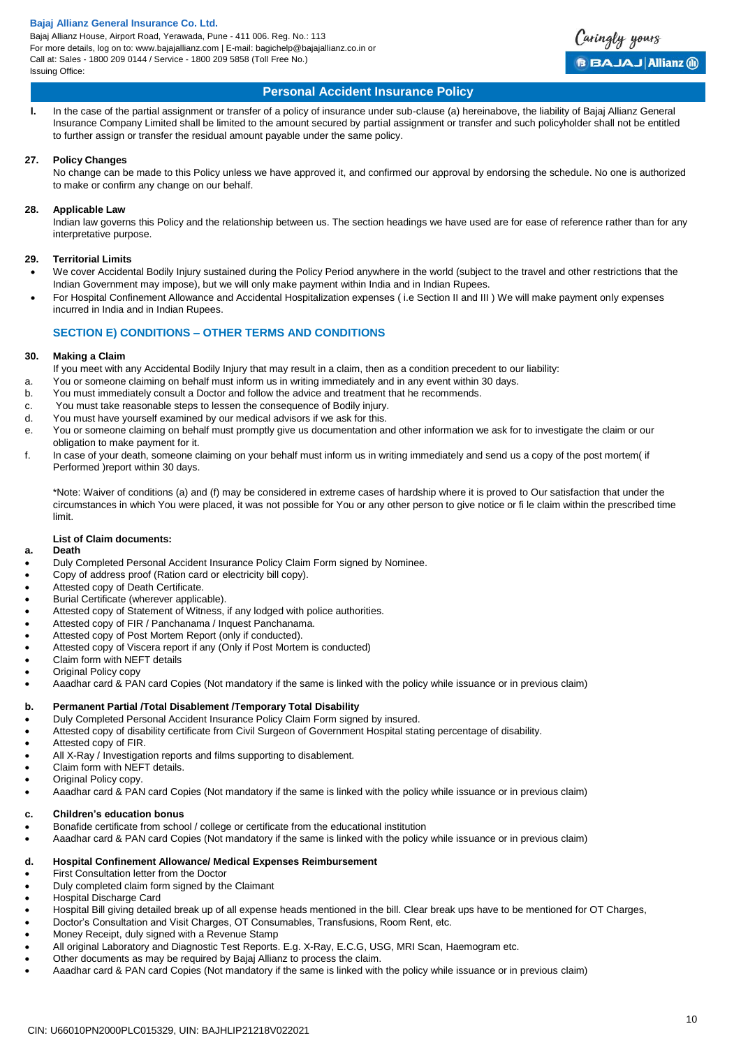Bajaj Allianz House, Airport Road, Yerawada, Pune - 411 006. Reg. No.: 113 For more details, log on to: www.bajajallianz.com | E-mail: bagichelp@bajajallianz.co.in or Call at: Sales - 1800 209 0144 / Service - 1800 209 5858 (Toll Free No.) Issuing Office:



# **Personal Accident Insurance Policy**

**l.** In the case of the partial assignment or transfer of a policy of insurance under sub-clause (a) hereinabove, the liability of Bajaj Allianz General Insurance Company Limited shall be limited to the amount secured by partial assignment or transfer and such policyholder shall not be entitled to further assign or transfer the residual amount payable under the same policy.

# **27. Policy Changes**

No change can be made to this Policy unless we have approved it, and confirmed our approval by endorsing the schedule. No one is authorized to make or confirm any change on our behalf.

# **28. Applicable Law**

Indian law governs this Policy and the relationship between us. The section headings we have used are for ease of reference rather than for any interpretative purpose.

# **29. Territorial Limits**

- We cover Accidental Bodily Injury sustained during the Policy Period anywhere in the world (subject to the travel and other restrictions that the Indian Government may impose), but we will only make payment within India and in Indian Rupees.
- For Hospital Confinement Allowance and Accidental Hospitalization expenses ( i.e Section II and III ) We will make payment only expenses incurred in India and in Indian Rupees.

# **SECTION E) CONDITIONS – OTHER TERMS AND CONDITIONS**

# **30. Making a Claim**

- If you meet with any Accidental Bodily Injury that may result in a claim, then as a condition precedent to our liability:
- a. You or someone claiming on behalf must inform us in writing immediately and in any event within 30 days.
- b. You must immediately consult a Doctor and follow the advice and treatment that he recommends.
- c. You must take reasonable steps to lessen the consequence of Bodily injury.
- d. You must have yourself examined by our medical advisors if we ask for this.
- e. You or someone claiming on behalf must promptly give us documentation and other information we ask for to investigate the claim or our obligation to make payment for it.
- f. In case of your death, someone claiming on your behalf must inform us in writing immediately and send us a copy of the post mortem( if Performed )report within 30 days.

\*Note: Waiver of conditions (a) and (f) may be considered in extreme cases of hardship where it is proved to Our satisfaction that under the circumstances in which You were placed, it was not possible for You or any other person to give notice or fi le claim within the prescribed time limit.

# **List of Claim documents:**

# **a. Death**

- Duly Completed Personal Accident Insurance Policy Claim Form signed by Nominee.
- Copy of address proof (Ration card or electricity bill copy).
- Attested copy of Death Certificate.
- Burial Certificate (wherever applicable).
- Attested copy of Statement of Witness, if any lodged with police authorities.
- Attested copy of FIR / Panchanama / Inquest Panchanama.
- Attested copy of Post Mortem Report (only if conducted).
- Attested copy of Viscera report if any (Only if Post Mortem is conducted)
- Claim form with NEFT details
- Original Policy copy
- Aaadhar card & PAN card Copies (Not mandatory if the same is linked with the policy while issuance or in previous claim)

# **b. Permanent Partial /Total Disablement /Temporary Total Disability**

- Duly Completed Personal Accident Insurance Policy Claim Form signed by insured.
- Attested copy of disability certificate from Civil Surgeon of Government Hospital stating percentage of disability.
- Attested copy of FIR.
- All X-Ray / Investigation reports and films supporting to disablement.
- Claim form with NEFT details.
- Original Policy copy.
- Aaadhar card & PAN card Copies (Not mandatory if the same is linked with the policy while issuance or in previous claim)

# **c. Children's education bonus**

- Bonafide certificate from school / college or certificate from the educational institution
- Aaadhar card & PAN card Copies (Not mandatory if the same is linked with the policy while issuance or in previous claim)

## **d. Hospital Confinement Allowance/ Medical Expenses Reimbursement**

- First Consultation letter from the Doctor
- Duly completed claim form signed by the Claimant
- Hospital Discharge Card
- Hospital Bill giving detailed break up of all expense heads mentioned in the bill. Clear break ups have to be mentioned for OT Charges,
- Doctor's Consultation and Visit Charges, OT Consumables, Transfusions, Room Rent, etc.
- Money Receipt, duly signed with a Revenue Stamp
- All original Laboratory and Diagnostic Test Reports. E.g. X-Ray, E.C.G, USG, MRI Scan, Haemogram etc.
- Other documents as may be required by Bajaj Allianz to process the claim.
- Aaadhar card & PAN card Copies (Not mandatory if the same is linked with the policy while issuance or in previous claim)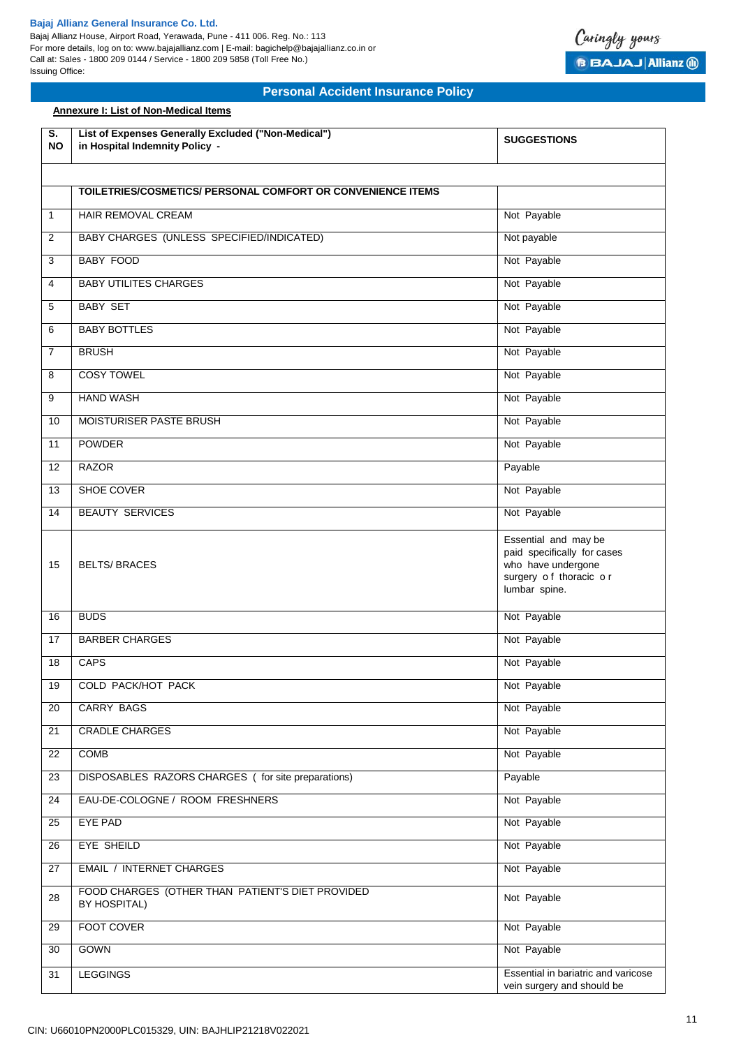**Annexure I: List of Non-Medical Items**

Bajaj Allianz House, Airport Road, Yerawada, Pune - 411 006. Reg. No.: 113 For more details, log on to: www.bajajallianz.com | E-mail: bagichelp@bajajallianz.co.in or Call at: Sales - 1800 209 0144 / Service - 1800 209 5858 (Toll Free No.) Issuing Office:



| S.<br><b>NO</b> | List of Expenses Generally Excluded ("Non-Medical")<br>in Hospital Indemnity Policy - | <b>SUGGESTIONS</b>                                                                                                   |
|-----------------|---------------------------------------------------------------------------------------|----------------------------------------------------------------------------------------------------------------------|
|                 |                                                                                       |                                                                                                                      |
|                 | TOILETRIES/COSMETICS/ PERSONAL COMFORT OR CONVENIENCE ITEMS                           |                                                                                                                      |
| $\mathbf{1}$    | <b>HAIR REMOVAL CREAM</b>                                                             | Not Payable                                                                                                          |
| 2               | BABY CHARGES (UNLESS SPECIFIED/INDICATED)                                             | Not payable                                                                                                          |
| 3               | <b>BABY FOOD</b>                                                                      | Not Payable                                                                                                          |
| 4               | <b>BABY UTILITES CHARGES</b>                                                          | Not Payable                                                                                                          |
| 5               | <b>BABY SET</b>                                                                       | Not Payable                                                                                                          |
| 6               | <b>BABY BOTTLES</b>                                                                   | Not Payable                                                                                                          |
| 7               | <b>BRUSH</b>                                                                          | Not Payable                                                                                                          |
| 8               | <b>COSY TOWEL</b>                                                                     | Not Payable                                                                                                          |
| 9               | <b>HAND WASH</b>                                                                      | Not Payable                                                                                                          |
| 10              | <b>MOISTURISER PASTE BRUSH</b>                                                        | Not Payable                                                                                                          |
| 11              | <b>POWDER</b>                                                                         | Not Payable                                                                                                          |
| 12              | <b>RAZOR</b>                                                                          | Payable                                                                                                              |
| 13              | SHOE COVER                                                                            | Not Payable                                                                                                          |
| 14              | <b>BEAUTY SERVICES</b>                                                                | Not Payable                                                                                                          |
| 15              | <b>BELTS/BRACES</b>                                                                   | Essential and may be<br>paid specifically for cases<br>who have undergone<br>surgery of thoracic or<br>lumbar spine. |
| 16              | <b>BUDS</b>                                                                           | Not Payable                                                                                                          |
| 17              | <b>BARBER CHARGES</b>                                                                 | Not Payable                                                                                                          |
| 18              | <b>CAPS</b>                                                                           | Not Payable                                                                                                          |
| 19              | <b>COLD PACK/HOT PACK</b>                                                             | Not Payable                                                                                                          |
| 20              | <b>CARRY BAGS</b>                                                                     | Not Payable                                                                                                          |
| 21              | <b>CRADLE CHARGES</b>                                                                 | Not Payable                                                                                                          |
| 22              | <b>COMB</b>                                                                           | Not Payable                                                                                                          |
| 23              | DISPOSABLES RAZORS CHARGES (for site preparations)                                    | Payable                                                                                                              |
| 24              | EAU-DE-COLOGNE / ROOM FRESHNERS                                                       | Not Payable                                                                                                          |
| 25              | <b>EYE PAD</b>                                                                        | Not Payable                                                                                                          |
| 26              | EYE SHEILD                                                                            | Not Payable                                                                                                          |
| 27              | <b>EMAIL / INTERNET CHARGES</b>                                                       | Not Payable                                                                                                          |
| 28              | FOOD CHARGES (OTHER THAN PATIENT'S DIET PROVIDED<br>BY HOSPITAL)                      | Not Payable                                                                                                          |
| 29              | FOOT COVER                                                                            | Not Payable                                                                                                          |
| 30              | GOWN                                                                                  | Not Payable                                                                                                          |
| 31              | <b>LEGGINGS</b>                                                                       | Essential in bariatric and varicose<br>vein surgery and should be                                                    |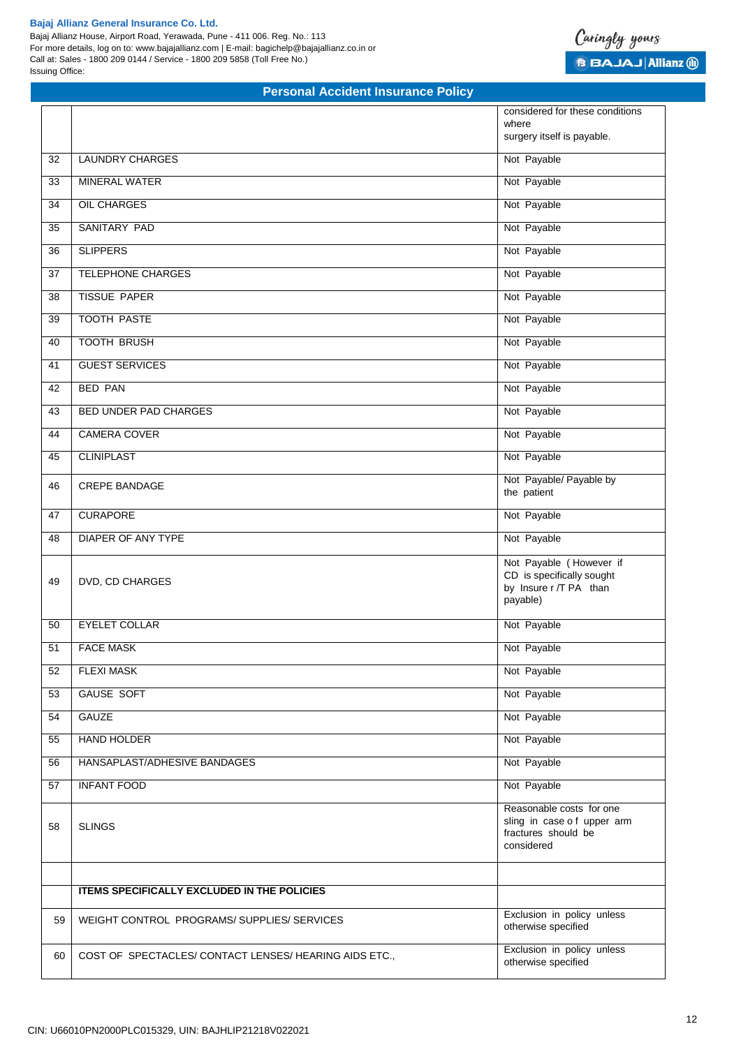Bajaj Allianz House, Airport Road, Yerawada, Pune - 411 006. Reg. No.: 113 For more details, log on to: www.bajajallianz.com | E-mail: bagichelp@bajajallianz.co.in or Call at: Sales - 1800 209 0144 / Service - 1800 209 5858 (Toll Free No.) Issuing Office:

# Caringly yours **B BAJAJ Allianz (ii)**

|    |                                                        | considered for these conditions<br>where                                                    |
|----|--------------------------------------------------------|---------------------------------------------------------------------------------------------|
|    |                                                        | surgery itself is payable.                                                                  |
| 32 | <b>LAUNDRY CHARGES</b>                                 | Not Payable                                                                                 |
| 33 | <b>MINERAL WATER</b>                                   | Not Payable                                                                                 |
| 34 | <b>OIL CHARGES</b>                                     | Not Payable                                                                                 |
| 35 | SANITARY PAD                                           | Not Payable                                                                                 |
| 36 | <b>SLIPPERS</b>                                        | Not Payable                                                                                 |
| 37 | TELEPHONE CHARGES                                      | Not Payable                                                                                 |
| 38 | <b>TISSUE PAPER</b>                                    | Not Payable                                                                                 |
| 39 | <b>TOOTH PASTE</b>                                     | Not Payable                                                                                 |
| 40 | <b>TOOTH BRUSH</b>                                     | Not Payable                                                                                 |
| 41 | <b>GUEST SERVICES</b>                                  | Not Payable                                                                                 |
| 42 | <b>BED PAN</b>                                         | Not Payable                                                                                 |
| 43 | <b>BED UNDER PAD CHARGES</b>                           | Not Payable                                                                                 |
| 44 | <b>CAMERA COVER</b>                                    | Not Payable                                                                                 |
| 45 | <b>CLINIPLAST</b>                                      | Not Payable                                                                                 |
| 46 | <b>CREPE BANDAGE</b>                                   | Not Payable/ Payable by<br>the patient                                                      |
| 47 | <b>CURAPORE</b>                                        | Not Payable                                                                                 |
| 48 | <b>DIAPER OF ANY TYPE</b>                              | Not Payable                                                                                 |
| 49 | DVD, CD CHARGES                                        | Not Payable (However if<br>CD is specifically sought<br>by Insure r /T PA than<br>payable)  |
| 50 | <b>EYELET COLLAR</b>                                   | Not Payable                                                                                 |
| 51 | <b>FACE MASK</b>                                       | Not Payable                                                                                 |
| 52 | <b>FLEXI MASK</b>                                      | Not Payable                                                                                 |
| 53 | <b>GAUSE SOFT</b>                                      | Not Payable                                                                                 |
| 54 | <b>GAUZE</b>                                           | Not Payable                                                                                 |
| 55 | <b>HAND HOLDER</b>                                     | Not Payable                                                                                 |
| 56 | HANSAPLAST/ADHESIVE BANDAGES                           | Not Payable                                                                                 |
| 57 | <b>INFANT FOOD</b>                                     | Not Payable                                                                                 |
| 58 | <b>SLINGS</b>                                          | Reasonable costs for one<br>sling in case of upper arm<br>fractures should be<br>considered |
|    | <b>ITEMS SPECIFICALLY EXCLUDED IN THE POLICIES</b>     |                                                                                             |
| 59 | WEIGHT CONTROL PROGRAMS/SUPPLIES/SERVICES              | Exclusion in policy unless<br>otherwise specified                                           |
| 60 | COST OF SPECTACLES/ CONTACT LENSES/ HEARING AIDS ETC., | Exclusion in policy unless<br>otherwise specified                                           |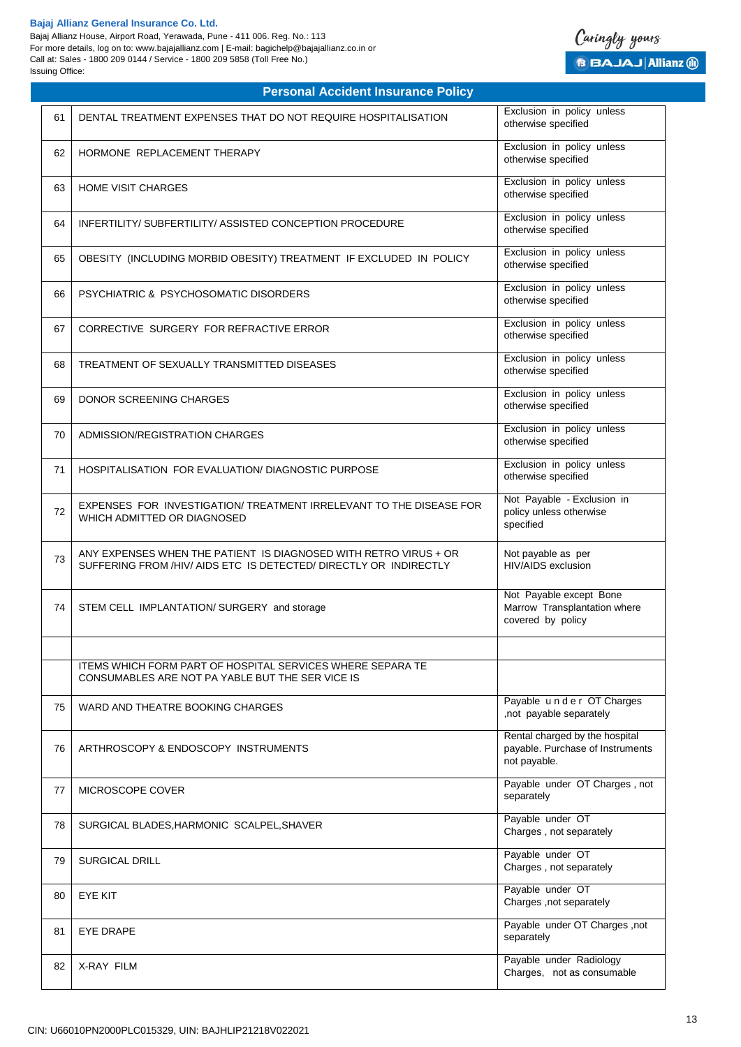Bajaj Allianz House, Airport Road, Yerawada, Pune - 411 006. Reg. No.: 113 For more details, log on to: www.bajajallianz.com | E-mail: bagichelp@bajajallianz.co.in or Call at: Sales - 1800 209 0144 / Service - 1800 209 5858 (Toll Free No.) Issuing Office:



| 61 | DENTAL TREATMENT EXPENSES THAT DO NOT REQUIRE HOSPITALISATION                                                                         | Exclusion in policy unless<br>otherwise specified                                  |
|----|---------------------------------------------------------------------------------------------------------------------------------------|------------------------------------------------------------------------------------|
| 62 | HORMONE REPLACEMENT THERAPY                                                                                                           | Exclusion in policy unless<br>otherwise specified                                  |
| 63 | <b>HOME VISIT CHARGES</b>                                                                                                             | Exclusion in policy unless<br>otherwise specified                                  |
| 64 | INFERTILITY/ SUBFERTILITY/ ASSISTED CONCEPTION PROCEDURE                                                                              | Exclusion in policy unless<br>otherwise specified                                  |
| 65 | OBESITY (INCLUDING MORBID OBESITY) TREATMENT IF EXCLUDED IN POLICY                                                                    | Exclusion in policy unless<br>otherwise specified                                  |
| 66 | <b>PSYCHIATRIC &amp; PSYCHOSOMATIC DISORDERS</b>                                                                                      | Exclusion in policy unless<br>otherwise specified                                  |
| 67 | CORRECTIVE SURGERY FOR REFRACTIVE ERROR                                                                                               | Exclusion in policy unless<br>otherwise specified                                  |
| 68 | TREATMENT OF SEXUALLY TRANSMITTED DISEASES                                                                                            | Exclusion in policy unless<br>otherwise specified                                  |
| 69 | DONOR SCREENING CHARGES                                                                                                               | Exclusion in policy unless<br>otherwise specified                                  |
| 70 | ADMISSION/REGISTRATION CHARGES                                                                                                        | Exclusion in policy unless<br>otherwise specified                                  |
| 71 | <b>HOSPITALISATION FOR EVALUATION/ DIAGNOSTIC PURPOSE</b>                                                                             | Exclusion in policy unless<br>otherwise specified                                  |
| 72 | EXPENSES FOR INVESTIGATION/ TREATMENT IRRELEVANT TO THE DISEASE FOR<br>WHICH ADMITTED OR DIAGNOSED                                    | Not Payable - Exclusion in<br>policy unless otherwise<br>specified                 |
| 73 | ANY EXPENSES WHEN THE PATIENT IS DIAGNOSED WITH RETRO VIRUS + OR<br>SUFFERING FROM /HIV/ AIDS ETC IS DETECTED/ DIRECTLY OR INDIRECTLY | Not payable as per<br>HIV/AIDS exclusion                                           |
| 74 | STEM CELL IMPLANTATION/ SURGERY and storage                                                                                           | Not Payable except Bone<br>Marrow Transplantation where<br>covered by policy       |
|    | ITEMS WHICH FORM PART OF HOSPITAL SERVICES WHERE SEPARA TE<br>CONSUMABLES ARE NOT PA YABLE BUT THE SER VICE IS                        |                                                                                    |
| 75 | WARD AND THEATRE BOOKING CHARGES                                                                                                      | Payable under OT Charges<br>,not payable separately                                |
| 76 | ARTHROSCOPY & ENDOSCOPY INSTRUMENTS                                                                                                   | Rental charged by the hospital<br>payable. Purchase of Instruments<br>not payable. |
| 77 | MICROSCOPE COVER                                                                                                                      | Payable under OT Charges, not<br>separately                                        |
| 78 | SURGICAL BLADES, HARMONIC SCALPEL, SHAVER                                                                                             | Payable under OT<br>Charges, not separately                                        |
| 79 | SURGICAL DRILL                                                                                                                        | Payable under OT<br>Charges, not separately                                        |
| 80 | <b>EYE KIT</b>                                                                                                                        | Payable under OT<br>Charges , not separately                                       |
| 81 | <b>EYE DRAPE</b>                                                                                                                      | Payable under OT Charges, not<br>separately                                        |
| 82 | X-RAY FILM                                                                                                                            | Payable under Radiology<br>Charges, not as consumable                              |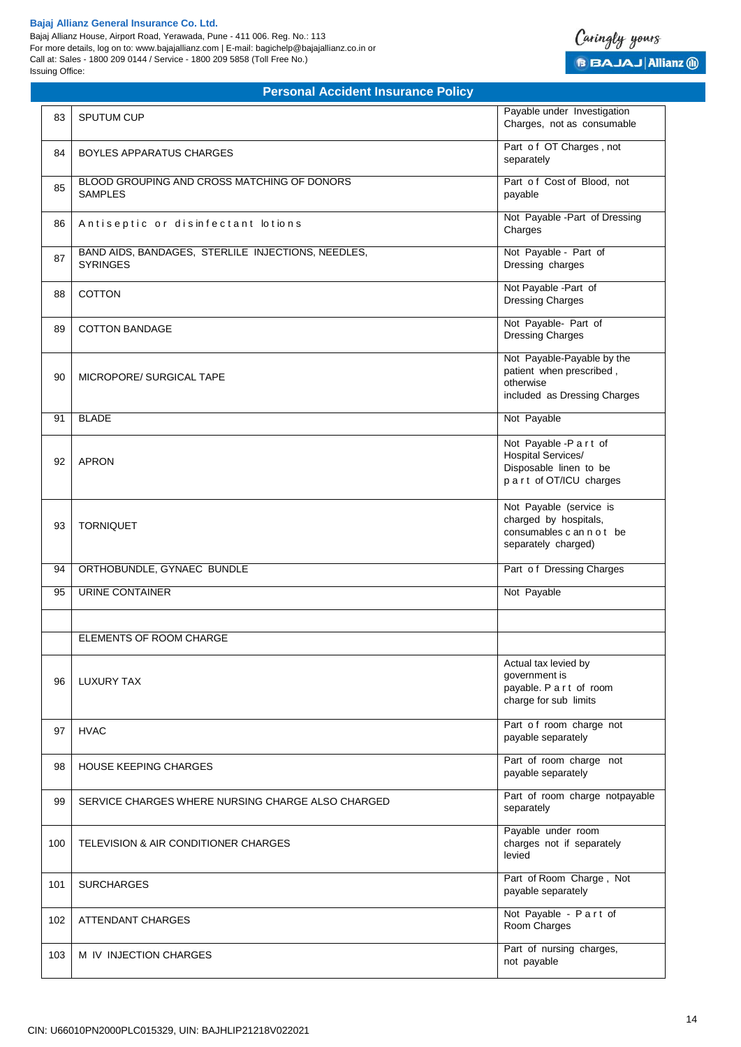Bajaj Allianz House, Airport Road, Yerawada, Pune - 411 006. Reg. No.: 113 For more details, log on to: www.bajajallianz.com | E-mail: bagichelp@bajajallianz.co.in or Call at: Sales - 1800 209 0144 / Service - 1800 209 5858 (Toll Free No.) Issuing Office:



| 83  | <b>SPUTUM CUP</b>                                                     | Payable under Investigation<br>Charges, not as consumable                                            |
|-----|-----------------------------------------------------------------------|------------------------------------------------------------------------------------------------------|
| 84  | <b>BOYLES APPARATUS CHARGES</b>                                       | Part of OT Charges, not<br>separately                                                                |
| 85  | BLOOD GROUPING AND CROSS MATCHING OF DONORS<br><b>SAMPLES</b>         | Part of Cost of Blood, not<br>payable                                                                |
| 86  | Antiseptic or disinfectant lotions                                    | Not Payable - Part of Dressing<br>Charges                                                            |
| 87  | BAND AIDS, BANDAGES, STERLILE INJECTIONS, NEEDLES,<br><b>SYRINGES</b> | Not Payable - Part of<br>Dressing charges                                                            |
| 88  | <b>COTTON</b>                                                         | Not Payable - Part of<br><b>Dressing Charges</b>                                                     |
| 89  | <b>COTTON BANDAGE</b>                                                 | Not Payable- Part of<br><b>Dressing Charges</b>                                                      |
| 90  | MICROPORE/ SURGICAL TAPE                                              | Not Payable-Payable by the<br>patient when prescribed,<br>otherwise<br>included as Dressing Charges  |
| 91  | <b>BLADE</b>                                                          | Not Payable                                                                                          |
| 92  | <b>APRON</b>                                                          | Not Payable -P a r t of<br>Hospital Services/<br>Disposable linen to be<br>part of OT/ICU charges    |
| 93  | <b>TORNIQUET</b>                                                      | Not Payable (service is<br>charged by hospitals,<br>consumables c an n o t be<br>separately charged) |
| 94  | ORTHOBUNDLE, GYNAEC BUNDLE                                            | Part of Dressing Charges                                                                             |
| 95  | <b>URINE CONTAINER</b>                                                | Not Payable                                                                                          |
|     | ELEMENTS OF ROOM CHARGE                                               |                                                                                                      |
| 96  | LUXURY TAX                                                            | Actual tax levied by<br>government is<br>payable. P a r t of room<br>charge for sub limits           |
| 97  | <b>HVAC</b>                                                           | Part of room charge not<br>payable separately                                                        |
| 98  | <b>HOUSE KEEPING CHARGES</b>                                          | Part of room charge not<br>payable separately                                                        |
| 99  | SERVICE CHARGES WHERE NURSING CHARGE ALSO CHARGED                     | Part of room charge notpayable<br>separately                                                         |
| 100 | TELEVISION & AIR CONDITIONER CHARGES                                  | Payable under room<br>charges not if separately<br>levied                                            |
| 101 | <b>SURCHARGES</b>                                                     | Part of Room Charge, Not<br>payable separately                                                       |
| 102 | ATTENDANT CHARGES                                                     | Not Payable - Part of<br>Room Charges                                                                |
| 103 | M IV INJECTION CHARGES                                                | Part of nursing charges,<br>not payable                                                              |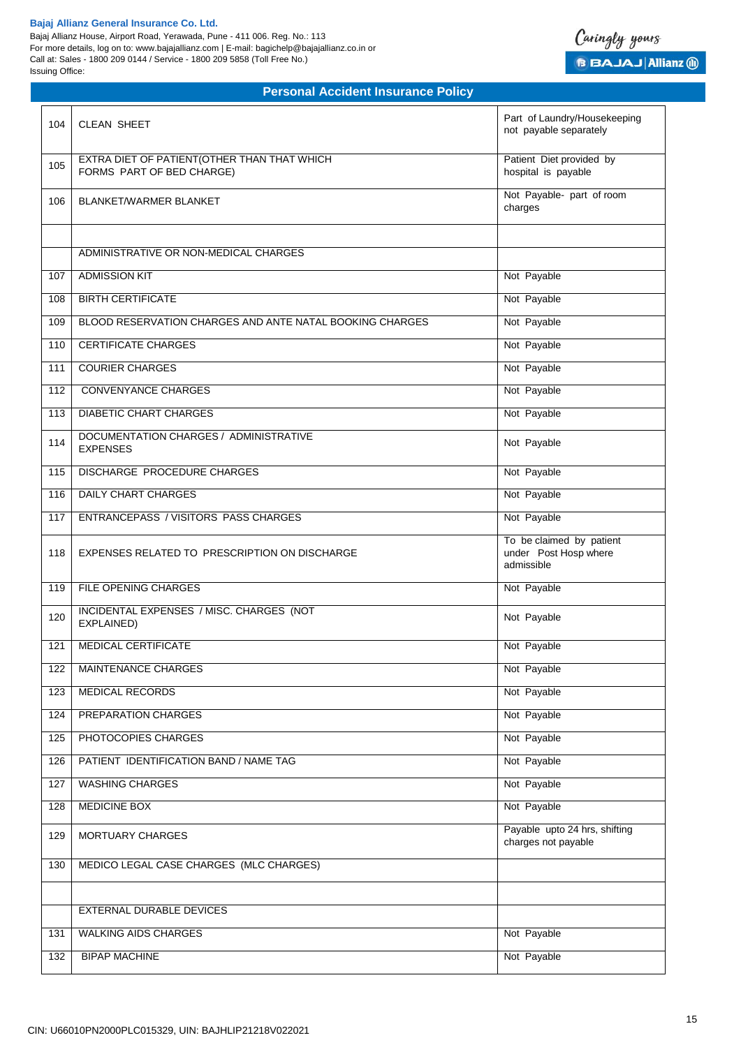Bajaj Allianz House, Airport Road, Yerawada, Pune - 411 006. Reg. No.: 113 For more details, log on to: www.bajajallianz.com | E-mail: bagichelp@bajajallianz.co.in or Call at: Sales - 1800 209 0144 / Service - 1800 209 5858 (Toll Free No.) Issuing Office:



| Patient Diet provided by<br>EXTRA DIET OF PATIENT (OTHER THAN THAT WHICH<br>105<br>FORMS PART OF BED CHARGE)<br>hospital is payable<br>Not Payable- part of room<br>106<br><b>BLANKET/WARMER BLANKET</b><br>charges<br>ADMINISTRATIVE OR NON-MEDICAL CHARGES<br><b>ADMISSION KIT</b><br>Not Payable<br>107<br><b>BIRTH CERTIFICATE</b><br>Not Payable<br>108<br>Not Payable<br>BLOOD RESERVATION CHARGES AND ANTE NATAL BOOKING CHARGES<br>109<br><b>CERTIFICATE CHARGES</b><br>Not Payable<br>110<br><b>COURIER CHARGES</b><br>Not Payable<br>111<br><b>CONVENYANCE CHARGES</b><br>Not Payable<br>112<br>Not Payable<br><b>DIABETIC CHART CHARGES</b><br>113<br>DOCUMENTATION CHARGES / ADMINISTRATIVE<br>Not Payable<br>114<br><b>EXPENSES</b><br>DISCHARGE PROCEDURE CHARGES<br>Not Payable<br>115<br><b>DAILY CHART CHARGES</b><br>Not Payable<br>116<br><b>ENTRANCEPASS / VISITORS PASS CHARGES</b><br>Not Payable<br>117<br>To be claimed by patient<br>under Post Hosp where<br>118<br>EXPENSES RELATED TO PRESCRIPTION ON DISCHARGE<br>admissible<br>FILE OPENING CHARGES<br>119<br>Not Payable<br>INCIDENTAL EXPENSES / MISC. CHARGES (NOT<br>120<br>Not Payable<br>EXPLAINED)<br>MEDICAL CERTIFICATE<br>Not Payable<br>121<br>122<br><b>MAINTENANCE CHARGES</b><br>Not Payable<br>MEDICAL RECORDS<br>Not Payable<br>123<br>PREPARATION CHARGES<br>Not Payable<br>124<br>PHOTOCOPIES CHARGES<br>Not Payable<br>125<br>PATIENT IDENTIFICATION BAND / NAME TAG<br>Not Payable<br>126<br>Not Payable<br>WASHING CHARGES<br>127<br><b>MEDICINE BOX</b><br>Not Payable<br>128<br>Payable upto 24 hrs, shifting<br>129<br>MORTUARY CHARGES<br>charges not payable<br>MEDICO LEGAL CASE CHARGES (MLC CHARGES)<br>130<br>EXTERNAL DURABLE DEVICES<br><b>WALKING AIDS CHARGES</b><br>Not Payable<br>131<br>Not Payable<br><b>BIPAP MACHINE</b><br>132 | 104 | <b>CLEAN SHEET</b> | Part of Laundry/Housekeeping<br>not payable separately |
|-------------------------------------------------------------------------------------------------------------------------------------------------------------------------------------------------------------------------------------------------------------------------------------------------------------------------------------------------------------------------------------------------------------------------------------------------------------------------------------------------------------------------------------------------------------------------------------------------------------------------------------------------------------------------------------------------------------------------------------------------------------------------------------------------------------------------------------------------------------------------------------------------------------------------------------------------------------------------------------------------------------------------------------------------------------------------------------------------------------------------------------------------------------------------------------------------------------------------------------------------------------------------------------------------------------------------------------------------------------------------------------------------------------------------------------------------------------------------------------------------------------------------------------------------------------------------------------------------------------------------------------------------------------------------------------------------------------------------------------------------------------------------------------------------------------------------------------------------------|-----|--------------------|--------------------------------------------------------|
|                                                                                                                                                                                                                                                                                                                                                                                                                                                                                                                                                                                                                                                                                                                                                                                                                                                                                                                                                                                                                                                                                                                                                                                                                                                                                                                                                                                                                                                                                                                                                                                                                                                                                                                                                                                                                                                       |     |                    |                                                        |
|                                                                                                                                                                                                                                                                                                                                                                                                                                                                                                                                                                                                                                                                                                                                                                                                                                                                                                                                                                                                                                                                                                                                                                                                                                                                                                                                                                                                                                                                                                                                                                                                                                                                                                                                                                                                                                                       |     |                    |                                                        |
|                                                                                                                                                                                                                                                                                                                                                                                                                                                                                                                                                                                                                                                                                                                                                                                                                                                                                                                                                                                                                                                                                                                                                                                                                                                                                                                                                                                                                                                                                                                                                                                                                                                                                                                                                                                                                                                       |     |                    |                                                        |
|                                                                                                                                                                                                                                                                                                                                                                                                                                                                                                                                                                                                                                                                                                                                                                                                                                                                                                                                                                                                                                                                                                                                                                                                                                                                                                                                                                                                                                                                                                                                                                                                                                                                                                                                                                                                                                                       |     |                    |                                                        |
|                                                                                                                                                                                                                                                                                                                                                                                                                                                                                                                                                                                                                                                                                                                                                                                                                                                                                                                                                                                                                                                                                                                                                                                                                                                                                                                                                                                                                                                                                                                                                                                                                                                                                                                                                                                                                                                       |     |                    |                                                        |
|                                                                                                                                                                                                                                                                                                                                                                                                                                                                                                                                                                                                                                                                                                                                                                                                                                                                                                                                                                                                                                                                                                                                                                                                                                                                                                                                                                                                                                                                                                                                                                                                                                                                                                                                                                                                                                                       |     |                    |                                                        |
|                                                                                                                                                                                                                                                                                                                                                                                                                                                                                                                                                                                                                                                                                                                                                                                                                                                                                                                                                                                                                                                                                                                                                                                                                                                                                                                                                                                                                                                                                                                                                                                                                                                                                                                                                                                                                                                       |     |                    |                                                        |
|                                                                                                                                                                                                                                                                                                                                                                                                                                                                                                                                                                                                                                                                                                                                                                                                                                                                                                                                                                                                                                                                                                                                                                                                                                                                                                                                                                                                                                                                                                                                                                                                                                                                                                                                                                                                                                                       |     |                    |                                                        |
|                                                                                                                                                                                                                                                                                                                                                                                                                                                                                                                                                                                                                                                                                                                                                                                                                                                                                                                                                                                                                                                                                                                                                                                                                                                                                                                                                                                                                                                                                                                                                                                                                                                                                                                                                                                                                                                       |     |                    |                                                        |
|                                                                                                                                                                                                                                                                                                                                                                                                                                                                                                                                                                                                                                                                                                                                                                                                                                                                                                                                                                                                                                                                                                                                                                                                                                                                                                                                                                                                                                                                                                                                                                                                                                                                                                                                                                                                                                                       |     |                    |                                                        |
|                                                                                                                                                                                                                                                                                                                                                                                                                                                                                                                                                                                                                                                                                                                                                                                                                                                                                                                                                                                                                                                                                                                                                                                                                                                                                                                                                                                                                                                                                                                                                                                                                                                                                                                                                                                                                                                       |     |                    |                                                        |
|                                                                                                                                                                                                                                                                                                                                                                                                                                                                                                                                                                                                                                                                                                                                                                                                                                                                                                                                                                                                                                                                                                                                                                                                                                                                                                                                                                                                                                                                                                                                                                                                                                                                                                                                                                                                                                                       |     |                    |                                                        |
|                                                                                                                                                                                                                                                                                                                                                                                                                                                                                                                                                                                                                                                                                                                                                                                                                                                                                                                                                                                                                                                                                                                                                                                                                                                                                                                                                                                                                                                                                                                                                                                                                                                                                                                                                                                                                                                       |     |                    |                                                        |
|                                                                                                                                                                                                                                                                                                                                                                                                                                                                                                                                                                                                                                                                                                                                                                                                                                                                                                                                                                                                                                                                                                                                                                                                                                                                                                                                                                                                                                                                                                                                                                                                                                                                                                                                                                                                                                                       |     |                    |                                                        |
|                                                                                                                                                                                                                                                                                                                                                                                                                                                                                                                                                                                                                                                                                                                                                                                                                                                                                                                                                                                                                                                                                                                                                                                                                                                                                                                                                                                                                                                                                                                                                                                                                                                                                                                                                                                                                                                       |     |                    |                                                        |
|                                                                                                                                                                                                                                                                                                                                                                                                                                                                                                                                                                                                                                                                                                                                                                                                                                                                                                                                                                                                                                                                                                                                                                                                                                                                                                                                                                                                                                                                                                                                                                                                                                                                                                                                                                                                                                                       |     |                    |                                                        |
|                                                                                                                                                                                                                                                                                                                                                                                                                                                                                                                                                                                                                                                                                                                                                                                                                                                                                                                                                                                                                                                                                                                                                                                                                                                                                                                                                                                                                                                                                                                                                                                                                                                                                                                                                                                                                                                       |     |                    |                                                        |
|                                                                                                                                                                                                                                                                                                                                                                                                                                                                                                                                                                                                                                                                                                                                                                                                                                                                                                                                                                                                                                                                                                                                                                                                                                                                                                                                                                                                                                                                                                                                                                                                                                                                                                                                                                                                                                                       |     |                    |                                                        |
|                                                                                                                                                                                                                                                                                                                                                                                                                                                                                                                                                                                                                                                                                                                                                                                                                                                                                                                                                                                                                                                                                                                                                                                                                                                                                                                                                                                                                                                                                                                                                                                                                                                                                                                                                                                                                                                       |     |                    |                                                        |
|                                                                                                                                                                                                                                                                                                                                                                                                                                                                                                                                                                                                                                                                                                                                                                                                                                                                                                                                                                                                                                                                                                                                                                                                                                                                                                                                                                                                                                                                                                                                                                                                                                                                                                                                                                                                                                                       |     |                    |                                                        |
|                                                                                                                                                                                                                                                                                                                                                                                                                                                                                                                                                                                                                                                                                                                                                                                                                                                                                                                                                                                                                                                                                                                                                                                                                                                                                                                                                                                                                                                                                                                                                                                                                                                                                                                                                                                                                                                       |     |                    |                                                        |
|                                                                                                                                                                                                                                                                                                                                                                                                                                                                                                                                                                                                                                                                                                                                                                                                                                                                                                                                                                                                                                                                                                                                                                                                                                                                                                                                                                                                                                                                                                                                                                                                                                                                                                                                                                                                                                                       |     |                    |                                                        |
|                                                                                                                                                                                                                                                                                                                                                                                                                                                                                                                                                                                                                                                                                                                                                                                                                                                                                                                                                                                                                                                                                                                                                                                                                                                                                                                                                                                                                                                                                                                                                                                                                                                                                                                                                                                                                                                       |     |                    |                                                        |
|                                                                                                                                                                                                                                                                                                                                                                                                                                                                                                                                                                                                                                                                                                                                                                                                                                                                                                                                                                                                                                                                                                                                                                                                                                                                                                                                                                                                                                                                                                                                                                                                                                                                                                                                                                                                                                                       |     |                    |                                                        |
|                                                                                                                                                                                                                                                                                                                                                                                                                                                                                                                                                                                                                                                                                                                                                                                                                                                                                                                                                                                                                                                                                                                                                                                                                                                                                                                                                                                                                                                                                                                                                                                                                                                                                                                                                                                                                                                       |     |                    |                                                        |
|                                                                                                                                                                                                                                                                                                                                                                                                                                                                                                                                                                                                                                                                                                                                                                                                                                                                                                                                                                                                                                                                                                                                                                                                                                                                                                                                                                                                                                                                                                                                                                                                                                                                                                                                                                                                                                                       |     |                    |                                                        |
|                                                                                                                                                                                                                                                                                                                                                                                                                                                                                                                                                                                                                                                                                                                                                                                                                                                                                                                                                                                                                                                                                                                                                                                                                                                                                                                                                                                                                                                                                                                                                                                                                                                                                                                                                                                                                                                       |     |                    |                                                        |
|                                                                                                                                                                                                                                                                                                                                                                                                                                                                                                                                                                                                                                                                                                                                                                                                                                                                                                                                                                                                                                                                                                                                                                                                                                                                                                                                                                                                                                                                                                                                                                                                                                                                                                                                                                                                                                                       |     |                    |                                                        |
|                                                                                                                                                                                                                                                                                                                                                                                                                                                                                                                                                                                                                                                                                                                                                                                                                                                                                                                                                                                                                                                                                                                                                                                                                                                                                                                                                                                                                                                                                                                                                                                                                                                                                                                                                                                                                                                       |     |                    |                                                        |
|                                                                                                                                                                                                                                                                                                                                                                                                                                                                                                                                                                                                                                                                                                                                                                                                                                                                                                                                                                                                                                                                                                                                                                                                                                                                                                                                                                                                                                                                                                                                                                                                                                                                                                                                                                                                                                                       |     |                    |                                                        |
|                                                                                                                                                                                                                                                                                                                                                                                                                                                                                                                                                                                                                                                                                                                                                                                                                                                                                                                                                                                                                                                                                                                                                                                                                                                                                                                                                                                                                                                                                                                                                                                                                                                                                                                                                                                                                                                       |     |                    |                                                        |
|                                                                                                                                                                                                                                                                                                                                                                                                                                                                                                                                                                                                                                                                                                                                                                                                                                                                                                                                                                                                                                                                                                                                                                                                                                                                                                                                                                                                                                                                                                                                                                                                                                                                                                                                                                                                                                                       |     |                    |                                                        |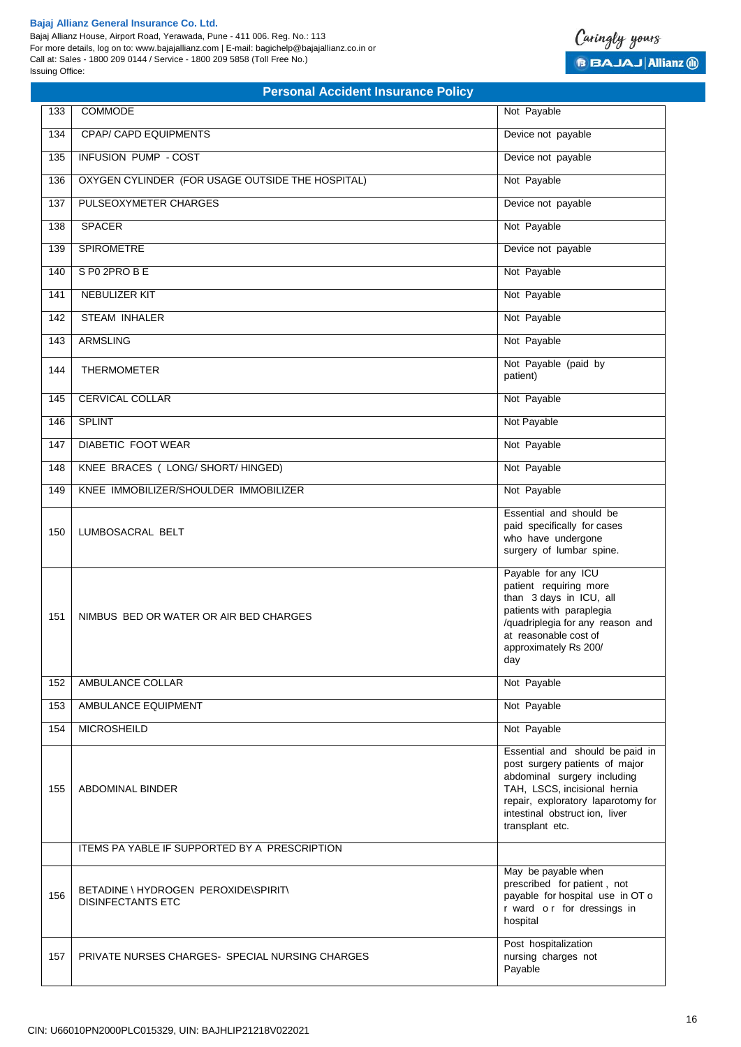Bajaj Allianz House, Airport Road, Yerawada, Pune - 411 006. Reg. No.: 113 For more details, log on to: www.bajajallianz.com | E-mail: bagichelp@bajajallianz.co.in or Call at: Sales - 1800 209 0144 / Service - 1800 209 5858 (Toll Free No.) Issuing Office:



| 133 | <b>COMMODE</b>                                                   | Not Payable                                                                                                                                                                                                                 |
|-----|------------------------------------------------------------------|-----------------------------------------------------------------------------------------------------------------------------------------------------------------------------------------------------------------------------|
| 134 | <b>CPAP/ CAPD EQUIPMENTS</b>                                     | Device not payable                                                                                                                                                                                                          |
| 135 | <b>INFUSION PUMP - COST</b>                                      | Device not payable                                                                                                                                                                                                          |
| 136 | OXYGEN CYLINDER (FOR USAGE OUTSIDE THE HOSPITAL)                 | Not Payable                                                                                                                                                                                                                 |
| 137 | PULSEOXYMETER CHARGES                                            | Device not payable                                                                                                                                                                                                          |
| 138 | <b>SPACER</b>                                                    | Not Payable                                                                                                                                                                                                                 |
| 139 | <b>SPIROMETRE</b>                                                | Device not payable                                                                                                                                                                                                          |
| 140 | SP0 2PROBE                                                       | Not Payable                                                                                                                                                                                                                 |
| 141 | <b>NEBULIZER KIT</b>                                             | Not Payable                                                                                                                                                                                                                 |
| 142 | <b>STEAM INHALER</b>                                             | Not Payable                                                                                                                                                                                                                 |
| 143 | <b>ARMSLING</b>                                                  | Not Payable                                                                                                                                                                                                                 |
| 144 | <b>THERMOMETER</b>                                               | Not Payable (paid by<br>patient)                                                                                                                                                                                            |
| 145 | <b>CERVICAL COLLAR</b>                                           | Not Payable                                                                                                                                                                                                                 |
| 146 | <b>SPLINT</b>                                                    | Not Payable                                                                                                                                                                                                                 |
| 147 | <b>DIABETIC FOOT WEAR</b>                                        | Not Payable                                                                                                                                                                                                                 |
| 148 | KNEE BRACES ( LONG/ SHORT/ HINGED)                               | Not Payable                                                                                                                                                                                                                 |
| 149 | KNEE IMMOBILIZER/SHOULDER IMMOBILIZER                            | Not Payable                                                                                                                                                                                                                 |
| 150 | LUMBOSACRAL BELT                                                 | Essential and should be<br>paid specifically for cases<br>who have undergone<br>surgery of lumbar spine.                                                                                                                    |
| 151 | NIMBUS BED OR WATER OR AIR BED CHARGES                           | Payable for any ICU<br>patient requiring more<br>than 3 days in ICU, all<br>patients with paraplegia<br>/quadriplegia for any reason and<br>at reasonable cost of<br>approximately Rs 200/<br>day                           |
| 152 | AMBULANCE COLLAR                                                 | Not Payable                                                                                                                                                                                                                 |
| 153 | AMBULANCE EQUIPMENT                                              | Not Payable                                                                                                                                                                                                                 |
| 154 | <b>MICROSHEILD</b>                                               | Not Payable                                                                                                                                                                                                                 |
| 155 | ABDOMINAL BINDER                                                 | Essential and should be paid in<br>post surgery patients of major<br>abdominal surgery including<br>TAH, LSCS, incisional hernia<br>repair, exploratory laparotomy for<br>intestinal obstruct ion, liver<br>transplant etc. |
|     | ITEMS PA YABLE IF SUPPORTED BY A PRESCRIPTION                    |                                                                                                                                                                                                                             |
| 156 | BETADINE \ HYDROGEN PEROXIDE\SPIRIT\<br><b>DISINFECTANTS ETC</b> | May be payable when<br>prescribed for patient, not<br>payable for hospital use in OT o<br>r ward or for dressings in<br>hospital                                                                                            |
| 157 | PRIVATE NURSES CHARGES- SPECIAL NURSING CHARGES                  | Post hospitalization<br>nursing charges not<br>Payable                                                                                                                                                                      |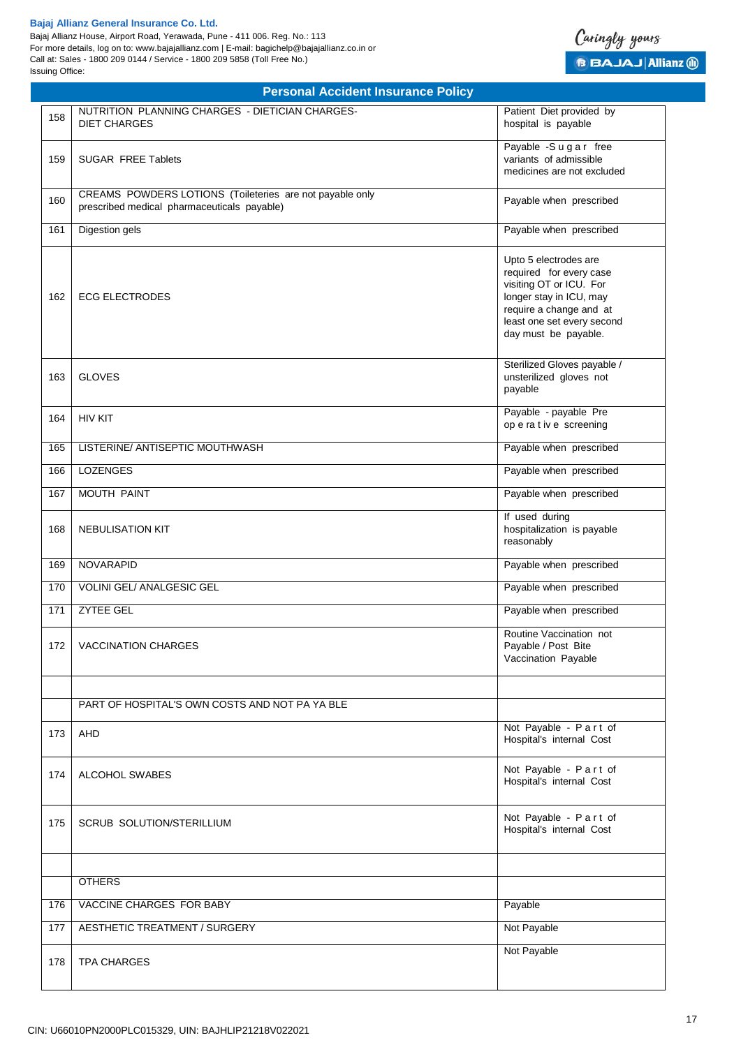Bajaj Allianz House, Airport Road, Yerawada, Pune - 411 006. Reg. No.: 113 For more details, log on to: www.bajajallianz.com | E-mail: bagichelp@bajajallianz.co.in or Call at: Sales - 1800 209 0144 / Service - 1800 209 5858 (Toll Free No.) Issuing Office:



| 158 | NUTRITION PLANNING CHARGES - DIETICIAN CHARGES-<br><b>DIET CHARGES</b>                                  | Patient Diet provided by<br>hospital is payable                                                                                                                                         |
|-----|---------------------------------------------------------------------------------------------------------|-----------------------------------------------------------------------------------------------------------------------------------------------------------------------------------------|
| 159 | <b>SUGAR FREE Tablets</b>                                                                               | Payable -Sugar free<br>variants of admissible<br>medicines are not excluded                                                                                                             |
| 160 | CREAMS POWDERS LOTIONS (Toileteries are not payable only<br>prescribed medical pharmaceuticals payable) | Payable when prescribed                                                                                                                                                                 |
| 161 | <b>Digestion gels</b>                                                                                   | Payable when prescribed                                                                                                                                                                 |
| 162 | <b>ECG ELECTRODES</b>                                                                                   | Upto 5 electrodes are<br>required for every case<br>visiting OT or ICU. For<br>longer stay in ICU, may<br>require a change and at<br>least one set every second<br>day must be payable. |
| 163 | <b>GLOVES</b>                                                                                           | Sterilized Gloves payable /<br>unsterilized gloves not<br>payable                                                                                                                       |
| 164 | <b>HIV KIT</b>                                                                                          | Payable - payable Pre<br>op e ra t iv e screening                                                                                                                                       |
| 165 | LISTERINE/ ANTISEPTIC MOUTHWASH                                                                         | Payable when prescribed                                                                                                                                                                 |
| 166 | <b>LOZENGES</b>                                                                                         | Payable when prescribed                                                                                                                                                                 |
| 167 | <b>MOUTH PAINT</b>                                                                                      | Payable when prescribed                                                                                                                                                                 |
| 168 | <b>NEBULISATION KIT</b>                                                                                 | If used during<br>hospitalization is payable<br>reasonably                                                                                                                              |
| 169 | <b>NOVARAPID</b>                                                                                        | Payable when prescribed                                                                                                                                                                 |
| 170 | VOLINI GEL/ ANALGESIC GEL                                                                               | Payable when prescribed                                                                                                                                                                 |
| 171 | <b>ZYTEE GEL</b>                                                                                        | Payable when prescribed                                                                                                                                                                 |
| 172 | <b>VACCINATION CHARGES</b>                                                                              | Routine Vaccination not<br>Payable / Post Bite<br>Vaccination Payable                                                                                                                   |
|     | PART OF HOSPITAL'S OWN COSTS AND NOT PA YA BLE                                                          |                                                                                                                                                                                         |
| 173 | AHD                                                                                                     | Not Payable - Part of<br>Hospital's internal Cost                                                                                                                                       |
| 174 | ALCOHOL SWABES                                                                                          | Not Payable - Part of<br>Hospital's internal Cost                                                                                                                                       |
| 175 | <b>SCRUB SOLUTION/STERILLIUM</b>                                                                        | Not Payable - Part of<br>Hospital's internal Cost                                                                                                                                       |
|     | <b>OTHERS</b>                                                                                           |                                                                                                                                                                                         |
| 176 | VACCINE CHARGES FOR BABY                                                                                | Payable                                                                                                                                                                                 |
| 177 | <b>AESTHETIC TREATMENT / SURGERY</b>                                                                    | Not Payable                                                                                                                                                                             |
| 178 | <b>TPA CHARGES</b>                                                                                      | Not Payable                                                                                                                                                                             |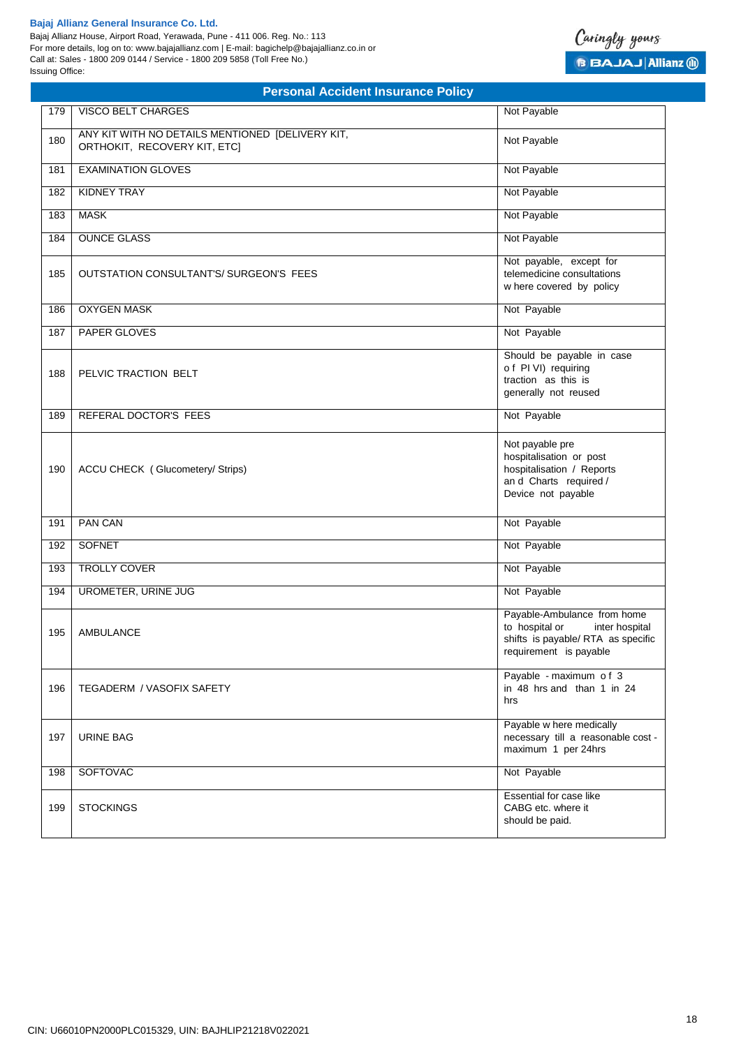Bajaj Allianz House, Airport Road, Yerawada, Pune - 411 006. Reg. No.: 113 For more details, log on to: www.bajajallianz.com | E-mail: bagichelp@bajajallianz.co.in or Call at: Sales - 1800 209 0144 / Service - 1800 209 5858 (Toll Free No.) Issuing Office:



|     | <b>Personal Accident Insurance Policy</b>                                        |                                                                                                                                 |
|-----|----------------------------------------------------------------------------------|---------------------------------------------------------------------------------------------------------------------------------|
| 179 | VISCO BELT CHARGES                                                               | Not Payable                                                                                                                     |
| 180 | ANY KIT WITH NO DETAILS MENTIONED [DELIVERY KIT,<br>ORTHOKIT, RECOVERY KIT, ETC] | Not Payable                                                                                                                     |
| 181 | <b>EXAMINATION GLOVES</b>                                                        | Not Payable                                                                                                                     |
| 182 | <b>KIDNEY TRAY</b>                                                               | Not Payable                                                                                                                     |
| 183 | <b>MASK</b>                                                                      | Not Payable                                                                                                                     |
| 184 | <b>OUNCE GLASS</b>                                                               | Not Payable                                                                                                                     |
| 185 | OUTSTATION CONSULTANT'S/ SURGEON'S FEES                                          | Not payable, except for<br>telemedicine consultations<br>w here covered by policy                                               |
| 186 | <b>OXYGEN MASK</b>                                                               | Not Payable                                                                                                                     |
| 187 | PAPER GLOVES                                                                     | Not Payable                                                                                                                     |
| 188 | PELVIC TRACTION BELT                                                             | Should be payable in case<br>of PI VI) requiring<br>traction as this is<br>generally not reused                                 |
| 189 | REFERAL DOCTOR'S FEES                                                            | Not Payable                                                                                                                     |
| 190 | ACCU CHECK (Glucometery/Strips)                                                  | Not payable pre<br>hospitalisation or post<br>hospitalisation / Reports<br>and Charts required /<br>Device not payable          |
| 191 | <b>PAN CAN</b>                                                                   | Not Payable                                                                                                                     |
| 192 | <b>SOFNET</b>                                                                    | Not Payable                                                                                                                     |
| 193 | TROLLY COVER                                                                     | Not Payable                                                                                                                     |
| 194 | UROMETER, URINE JUG                                                              | Not Payable                                                                                                                     |
| 195 | <b>AMBULANCE</b>                                                                 | Payable-Ambulance from home<br>to hospital or<br>inter hospital<br>shifts is payable/ RTA as specific<br>requirement is payable |
| 196 | <b>TEGADERM / VASOFIX SAFETY</b>                                                 | Payable - maximum of 3<br>in 48 hrs and than 1 in 24<br>hrs                                                                     |
| 197 | <b>URINE BAG</b>                                                                 | Payable w here medically<br>necessary till a reasonable cost -<br>maximum 1 per 24hrs                                           |
| 198 | <b>SOFTOVAC</b>                                                                  | Not Payable                                                                                                                     |
| 199 | <b>STOCKINGS</b>                                                                 | Essential for case like<br>CABG etc. where it<br>should be paid.                                                                |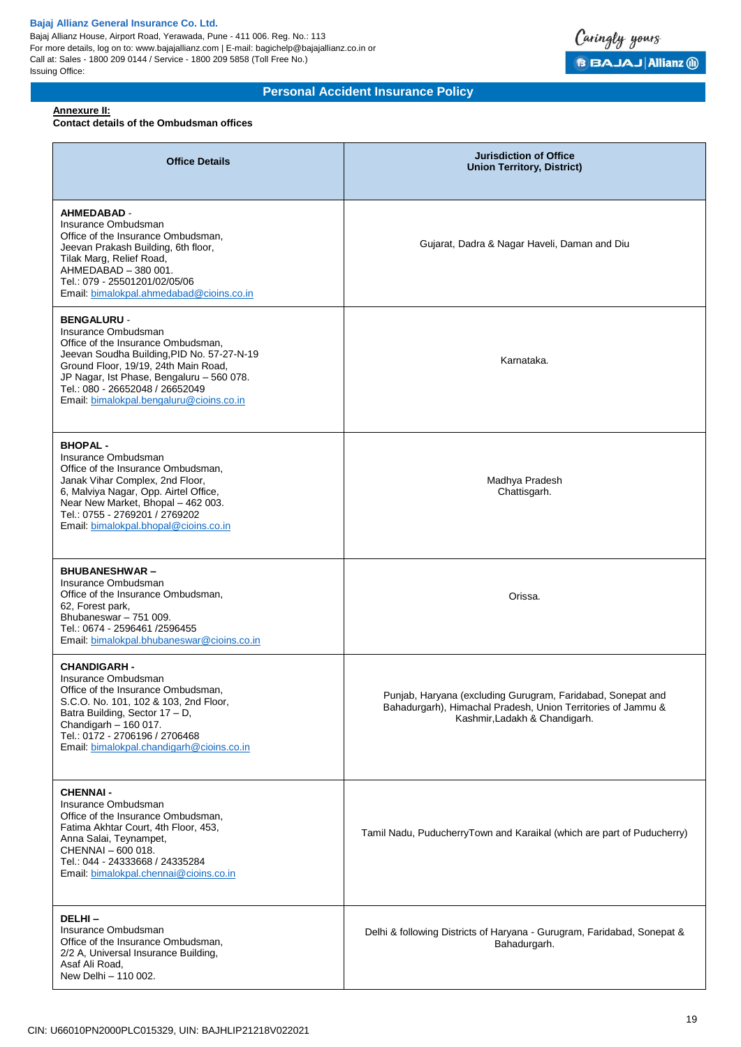Bajaj Allianz House, Airport Road, Yerawada, Pune - 411 006. Reg. No.: 113 For more details, log on to: www.bajajallianz.com | E-mail: bagichelp@bajajallianz.co.in or Call at: Sales - 1800 209 0144 / Service - 1800 209 5858 (Toll Free No.) Issuing Office:



# **Personal Accident Insurance Policy**

## **Annexure II:**

# **Contact details of the Ombudsman offices**

| <b>Office Details</b>                                                                                                                                                                                                                                                                             | <b>Jurisdiction of Office</b><br><b>Union Territory, District)</b>                                                                                           |  |
|---------------------------------------------------------------------------------------------------------------------------------------------------------------------------------------------------------------------------------------------------------------------------------------------------|--------------------------------------------------------------------------------------------------------------------------------------------------------------|--|
| <b>AHMEDABAD -</b><br>Insurance Ombudsman<br>Office of the Insurance Ombudsman,<br>Jeevan Prakash Building, 6th floor,<br>Tilak Marg, Relief Road,<br>AHMEDABAD - 380 001.<br>Tel.: 079 - 25501201/02/05/06<br>Email: bimalokpal.ahmedabad@cioins.co.in                                           | Gujarat, Dadra & Nagar Haveli, Daman and Diu                                                                                                                 |  |
| <b>BENGALURU -</b><br>Insurance Ombudsman<br>Office of the Insurance Ombudsman,<br>Jeevan Soudha Building, PID No. 57-27-N-19<br>Ground Floor, 19/19, 24th Main Road,<br>JP Nagar, Ist Phase, Bengaluru - 560 078.<br>Tel.: 080 - 26652048 / 26652049<br>Email: bimalokpal.bengaluru@cioins.co.in | Karnataka.                                                                                                                                                   |  |
| <b>BHOPAL-</b><br>Insurance Ombudsman<br>Office of the Insurance Ombudsman,<br>Janak Vihar Complex, 2nd Floor,<br>6, Malviya Nagar, Opp. Airtel Office,<br>Near New Market, Bhopal - 462 003.<br>Tel.: 0755 - 2769201 / 2769202<br>Email: bimalokpal.bhopal@cioins.co.in                          | Madhya Pradesh<br>Chattisgarh.                                                                                                                               |  |
| <b>BHUBANESHWAR-</b><br>Insurance Ombudsman<br>Office of the Insurance Ombudsman,<br>62, Forest park,<br>Bhubaneswar - 751 009.<br>Tel.: 0674 - 2596461 /2596455<br>Email: bimalokpal.bhubaneswar@cioins.co.in                                                                                    | Orissa.                                                                                                                                                      |  |
| <b>CHANDIGARH -</b><br>Insurance Ombudsman<br>Office of the Insurance Ombudsman,<br>S.C.O. No. 101, 102 & 103, 2nd Floor,<br>Batra Building, Sector 17 - D,<br>Chandigarh $-160$ 017.<br>Tel.: 0172 - 2706196 / 2706468<br>Email: bimalokpal.chandigarh@cioins.co.in                              | Punjab, Haryana (excluding Gurugram, Faridabad, Sonepat and<br>Bahadurgarh), Himachal Pradesh, Union Territories of Jammu &<br>Kashmir, Ladakh & Chandigarh. |  |
| <b>CHENNAI -</b><br>Insurance Ombudsman<br>Office of the Insurance Ombudsman,<br>Fatima Akhtar Court, 4th Floor, 453,<br>Anna Salai, Teynampet,<br>CHENNAI - 600 018.<br>Tel.: 044 - 24333668 / 24335284<br>Email: bimalokpal.chennai@cioins.co.in                                                | Tamil Nadu, PuducherryTown and Karaikal (which are part of Puducherry)                                                                                       |  |
| DELHI-<br>Insurance Ombudsman<br>Office of the Insurance Ombudsman,<br>2/2 A, Universal Insurance Building,<br>Asaf Ali Road,<br>New Delhi - 110 002.                                                                                                                                             | Delhi & following Districts of Haryana - Gurugram, Faridabad, Sonepat &<br>Bahadurgarh.                                                                      |  |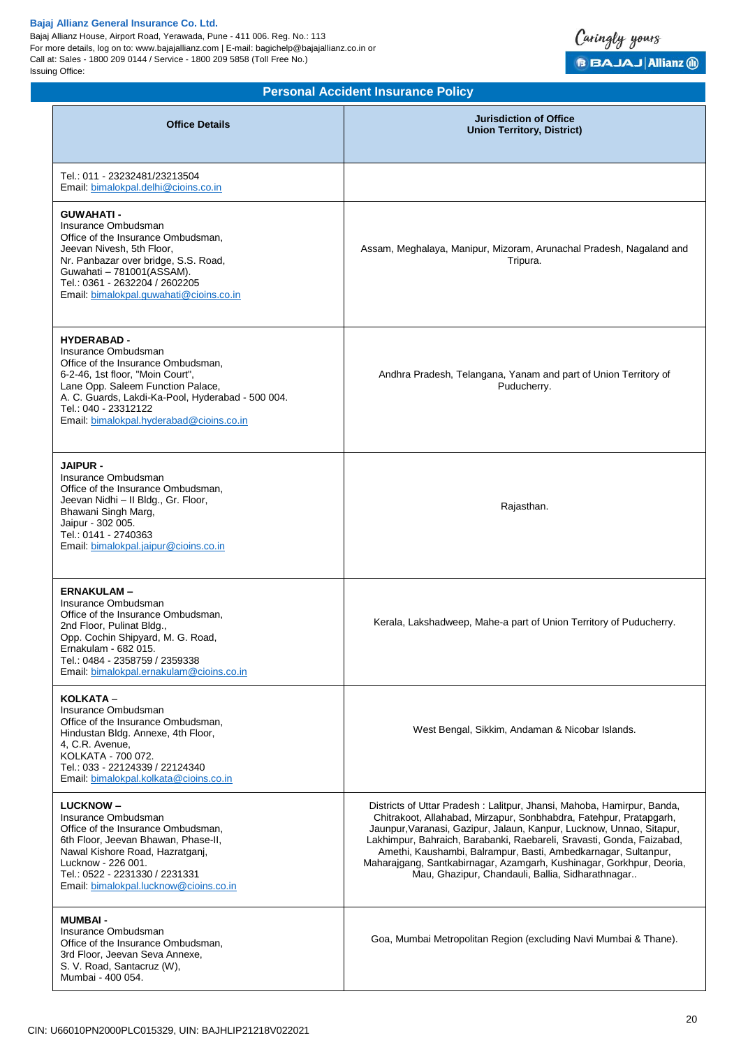Bajaj Allianz House, Airport Road, Yerawada, Pune - 411 006. Reg. No.: 113 For more details, log on to: www.bajajallianz.com | E-mail: bagichelp@bajajallianz.co.in or Call at: Sales - 1800 209 0144 / Service - 1800 209 5858 (Toll Free No.) Issuing Office:



| <b>Office Details</b>                                                                                                                                                                                                                                                             | <b>Jurisdiction of Office</b><br><b>Union Territory, District)</b>                                                                                                                                                                                                                                                                                                                                                                                                                          |
|-----------------------------------------------------------------------------------------------------------------------------------------------------------------------------------------------------------------------------------------------------------------------------------|---------------------------------------------------------------------------------------------------------------------------------------------------------------------------------------------------------------------------------------------------------------------------------------------------------------------------------------------------------------------------------------------------------------------------------------------------------------------------------------------|
| Tel.: 011 - 23232481/23213504<br>Email: bimalokpal.delhi@cioins.co.in                                                                                                                                                                                                             |                                                                                                                                                                                                                                                                                                                                                                                                                                                                                             |
| <b>GUWAHATI-</b><br>Insurance Ombudsman<br>Office of the Insurance Ombudsman,<br>Jeevan Nivesh, 5th Floor,<br>Nr. Panbazar over bridge, S.S. Road,<br>Guwahati - 781001(ASSAM).<br>Tel.: 0361 - 2632204 / 2602205<br>Email: bimalokpal.guwahati@cioins.co.in                      | Assam, Meghalaya, Manipur, Mizoram, Arunachal Pradesh, Nagaland and<br>Tripura.                                                                                                                                                                                                                                                                                                                                                                                                             |
| <b>HYDERABAD -</b><br>Insurance Ombudsman<br>Office of the Insurance Ombudsman,<br>6-2-46, 1st floor, "Moin Court",<br>Lane Opp. Saleem Function Palace,<br>A. C. Guards, Lakdi-Ka-Pool, Hyderabad - 500 004.<br>Tel.: 040 - 23312122<br>Email: bimalokpal.hyderabad@cioins.co.in | Andhra Pradesh, Telangana, Yanam and part of Union Territory of<br>Puducherry.                                                                                                                                                                                                                                                                                                                                                                                                              |
| <b>JAIPUR -</b><br>Insurance Ombudsman<br>Office of the Insurance Ombudsman,<br>Jeevan Nidhi - Il Bldg., Gr. Floor,<br>Bhawani Singh Marg,<br>Jaipur - 302 005.<br>Tel.: 0141 - 2740363<br>Email: bimalokpal.jaipur@cioins.co.in                                                  | Rajasthan.                                                                                                                                                                                                                                                                                                                                                                                                                                                                                  |
| <b>ERNAKULAM-</b><br>Insurance Ombudsman<br>Office of the Insurance Ombudsman,<br>2nd Floor, Pulinat Bldg.,<br>Opp. Cochin Shipyard, M. G. Road,<br>Ernakulam - 682 015.<br>Tel.: 0484 - 2358759 / 2359338<br>Email: bimalokpal.ernakulam@cioins.co.in                            | Kerala, Lakshadweep, Mahe-a part of Union Territory of Puducherry.                                                                                                                                                                                                                                                                                                                                                                                                                          |
| KOLKATA -<br>Insurance Ombudsman<br>Office of the Insurance Ombudsman.<br>Hindustan Bldg. Annexe, 4th Floor,<br>4, C.R. Avenue,<br>KOLKATA - 700 072.<br>Tel.: 033 - 22124339 / 22124340<br>Email: bimalokpal.kolkata@cioins.co.in                                                | West Bengal, Sikkim, Andaman & Nicobar Islands.                                                                                                                                                                                                                                                                                                                                                                                                                                             |
| <b>LUCKNOW-</b><br>Insurance Ombudsman<br>Office of the Insurance Ombudsman,<br>6th Floor, Jeevan Bhawan, Phase-II,<br>Nawal Kishore Road, Hazratganj,<br>Lucknow - 226 001.<br>Tel.: 0522 - 2231330 / 2231331<br>Email: bimalokpal.lucknow@cioins.co.in                          | Districts of Uttar Pradesh: Lalitpur, Jhansi, Mahoba, Hamirpur, Banda,<br>Chitrakoot, Allahabad, Mirzapur, Sonbhabdra, Fatehpur, Pratapgarh,<br>Jaunpur, Varanasi, Gazipur, Jalaun, Kanpur, Lucknow, Unnao, Sitapur,<br>Lakhimpur, Bahraich, Barabanki, Raebareli, Sravasti, Gonda, Faizabad,<br>Amethi, Kaushambi, Balrampur, Basti, Ambedkarnagar, Sultanpur,<br>Maharajgang, Santkabirnagar, Azamgarh, Kushinagar, Gorkhpur, Deoria,<br>Mau, Ghazipur, Chandauli, Ballia, Sidharathnagar |
| <b>MUMBAI-</b><br>Insurance Ombudsman<br>Office of the Insurance Ombudsman,<br>3rd Floor, Jeevan Seva Annexe,<br>S. V. Road, Santacruz (W),<br>Mumbai - 400 054.                                                                                                                  | Goa, Mumbai Metropolitan Region (excluding Navi Mumbai & Thane).                                                                                                                                                                                                                                                                                                                                                                                                                            |